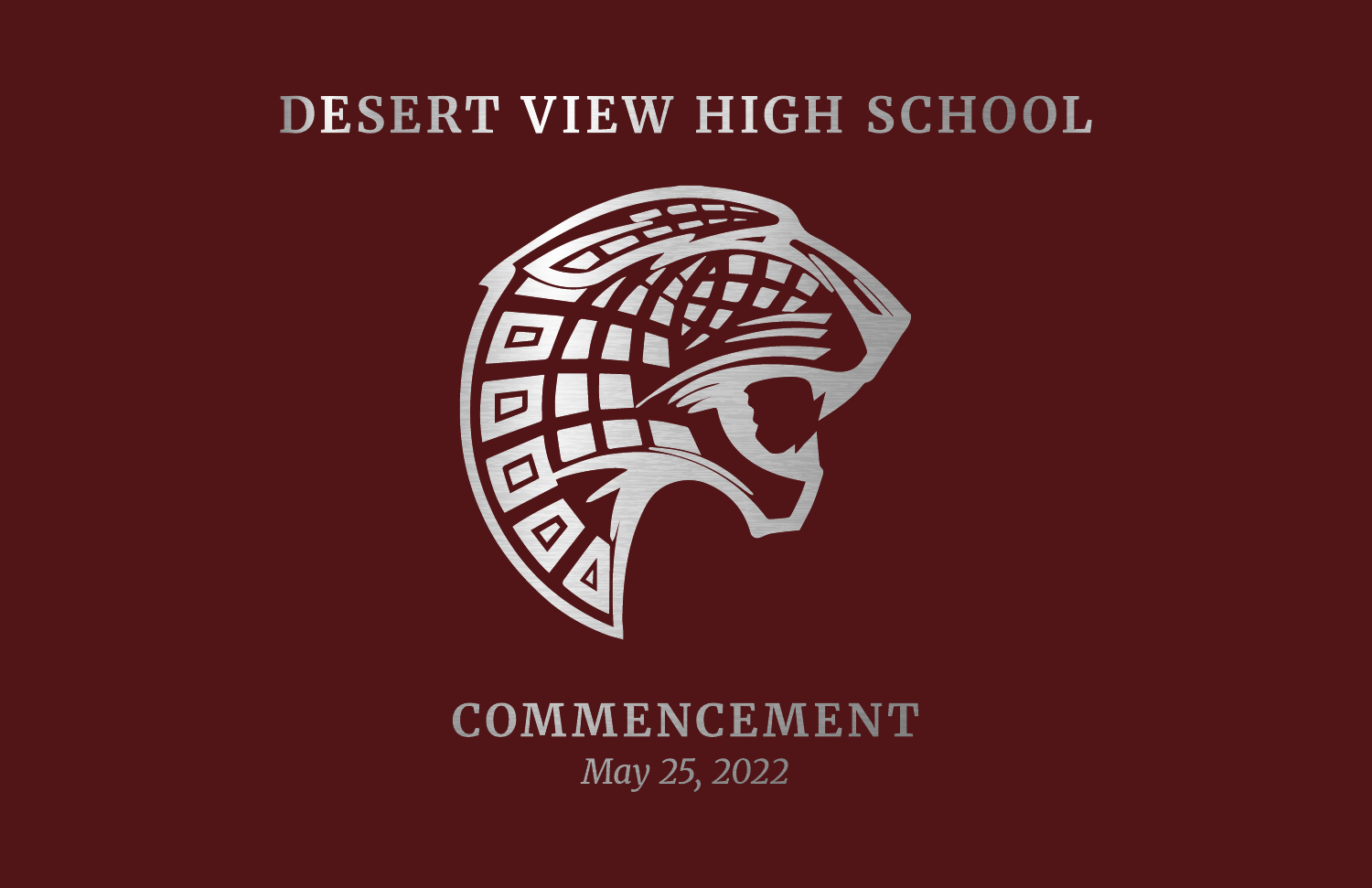# DESERT VIEW HIGH SCHOOL



**COMMENCEMENT** May 25, 2022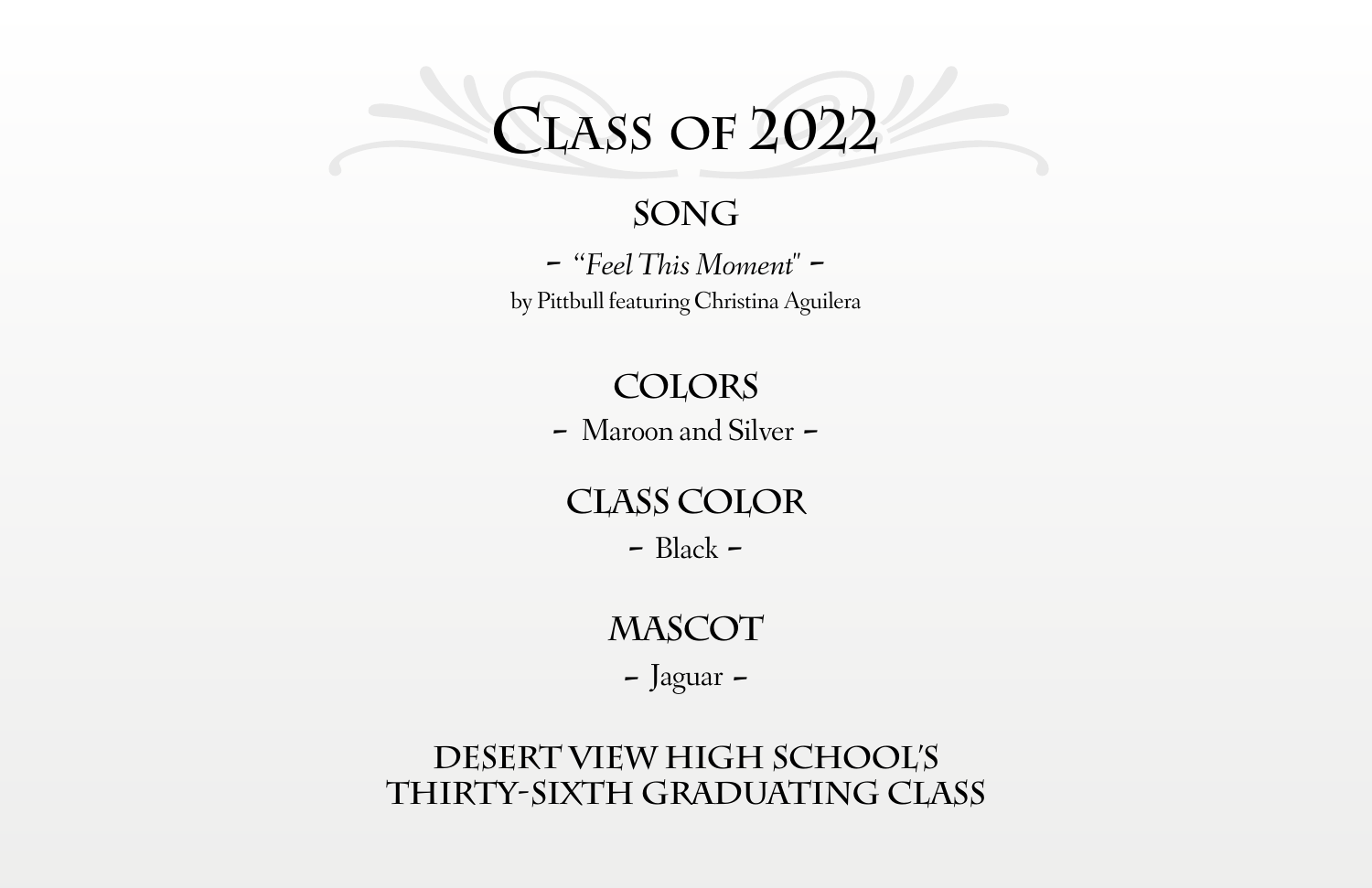# **Class of 2022**

#### **Song**

**-** "*Feel This Moment"*  by Pittbull featuring Christina Aguilera

#### **Colors**

**-** Maroon and Silver **-**

#### **Class Color**

**-** Black **-**

#### **Mascot**

**-** Jaguar **-**

#### **Desert View High School's THIRTY-sixth Graduating Class**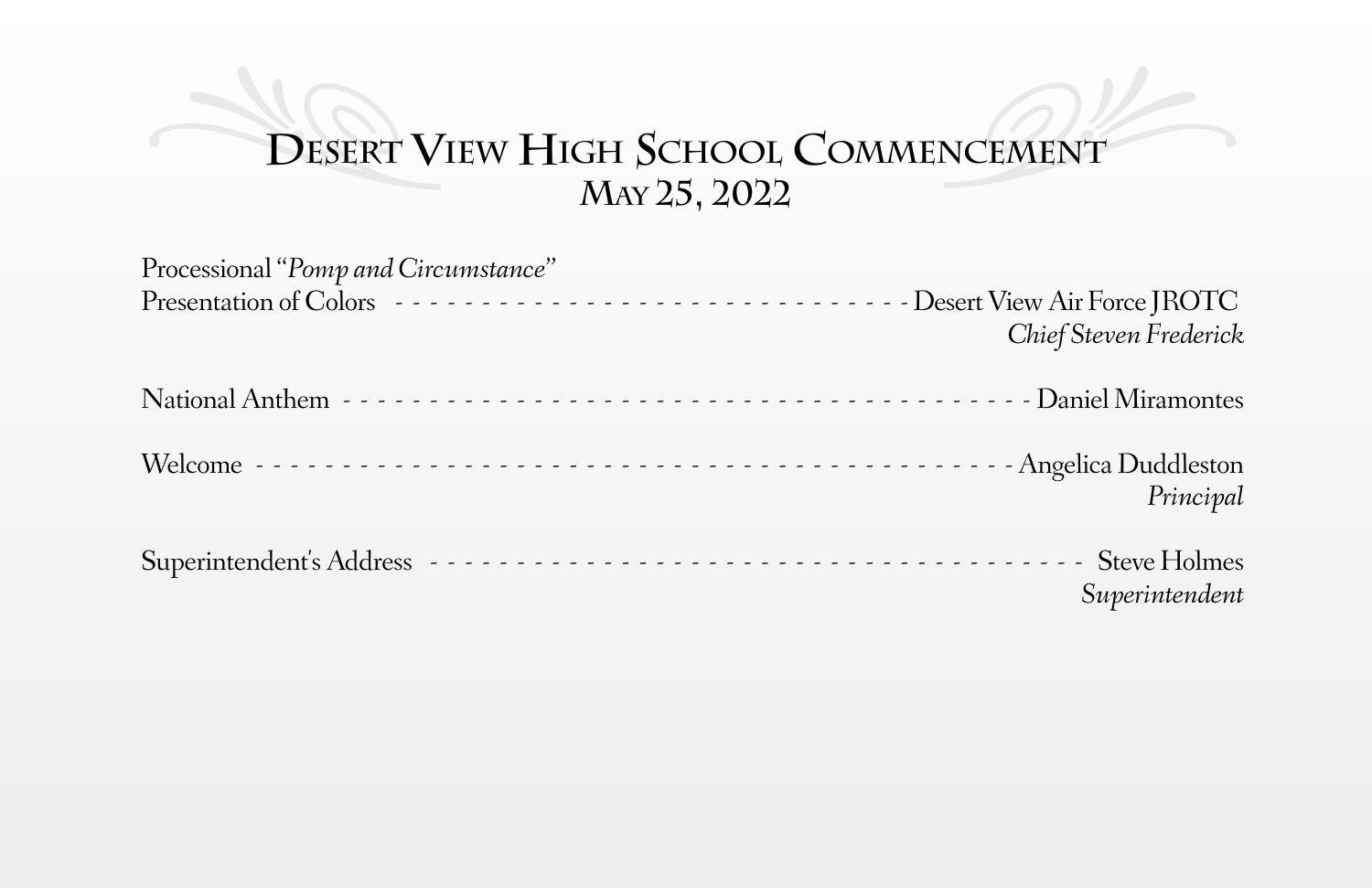# **Desert View High School Commencement May 25, 2022**

| Processional "Pomp and Circumstance"                                               |                        |
|------------------------------------------------------------------------------------|------------------------|
| Presentation of Colors --------------------------------Desert View Air Force JROTC |                        |
|                                                                                    | Chief Steven Frederick |
|                                                                                    |                        |
|                                                                                    |                        |
|                                                                                    |                        |
|                                                                                    | Principal              |
|                                                                                    |                        |
| Superintendent's Address                                                           | <b>Steve Holmes</b>    |
|                                                                                    | Superintendent         |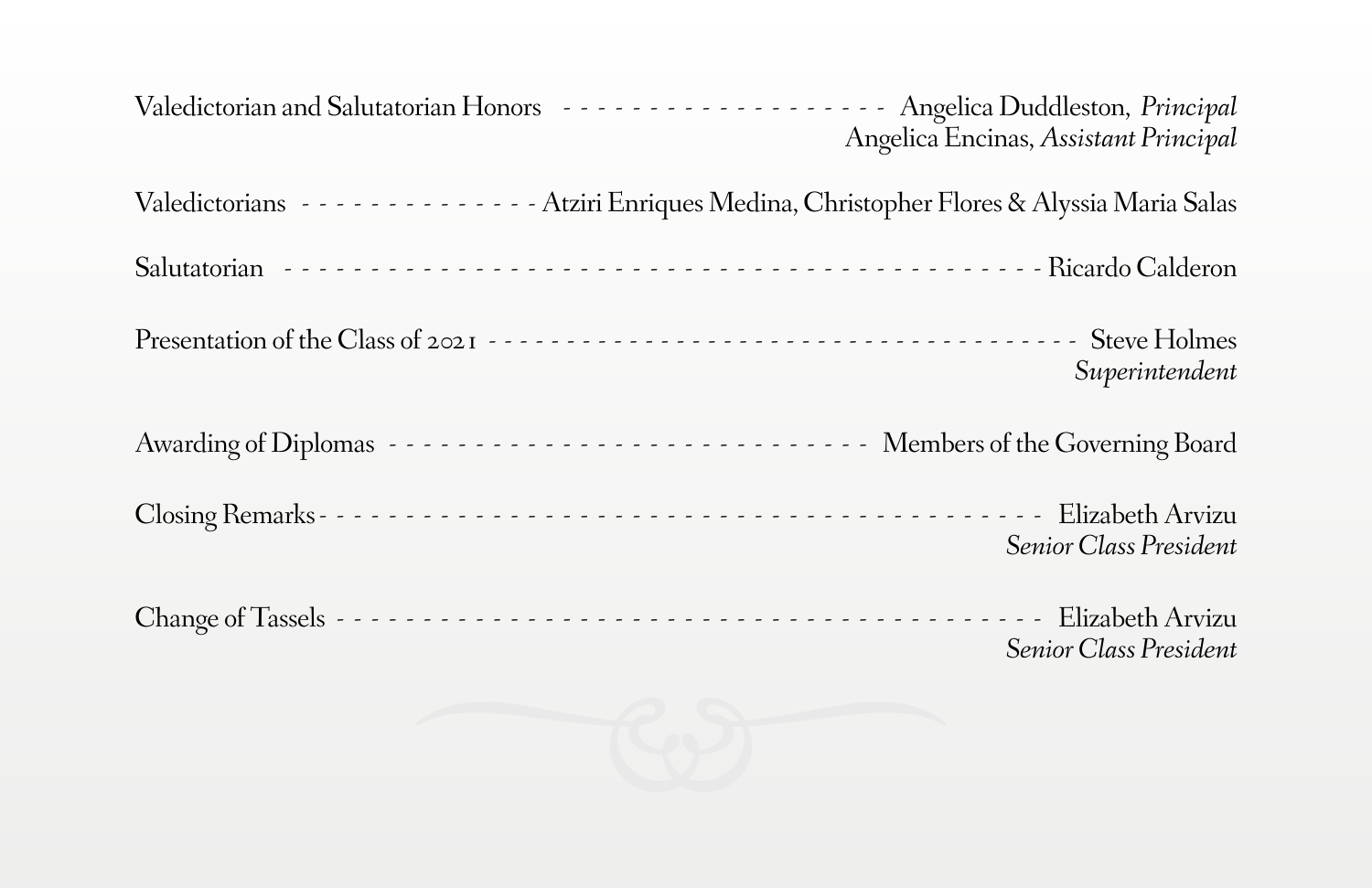Valedictorian and Salutatorian Honors Albert 2014 (2015) 2014 - Angelica Duddleston, *Principal* Angelica Encinas, *Assistant Principal* Valedictorians Atziri Enriques Medina, Christopher Flores & Alyssia Maria Salas Salutatorian Alberta Alberta Alberta Alberta Alberta Alberta Alberta Alberta Alberta Alberta Alberta Alberta A Presentation of the Class of 2021 Steve Holmes *Superintendent* Awarding of Diplomas Members of the Governing Board Closing Remarks Elizabeth Arvizu *Senior Class President* Change of Tassels Elizabeth Arvizu *Senior Class President*

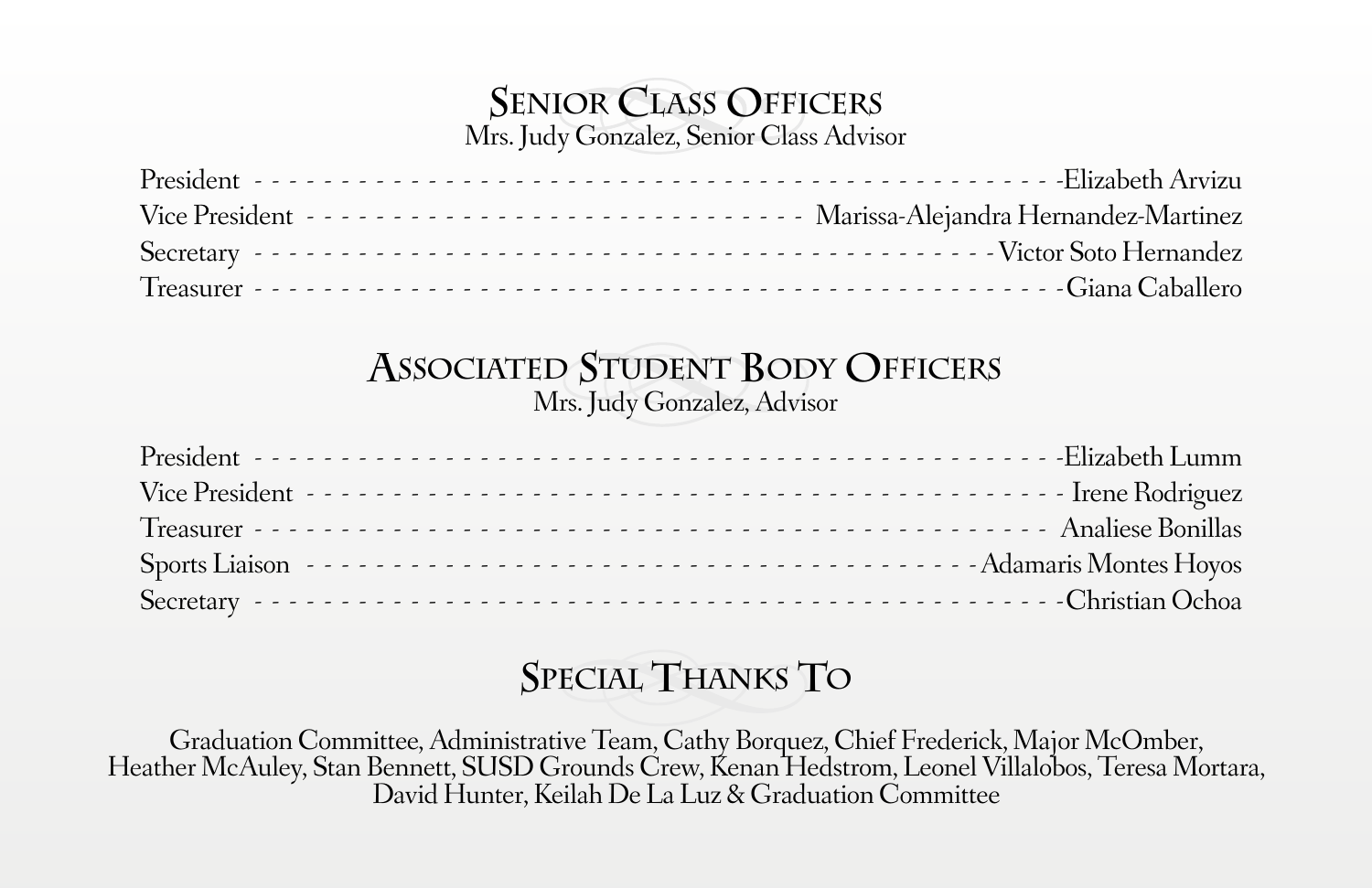#### **Senior Class Officers** Mrs. Judy Gonzalez, Senior Class Advisor

President - - - - - - - - - - - - - - - - - - - - - - - - - - - - - - - - - - - - - - - - - - - - - - Elizabeth Arvizu Vice President Marissa-Alejandra Hernandez-Martinez Secretary Victor Soto Hernandez Treasurer - - - - - - - - - - - - - - - - - - - - - - - - - - - - - - - - - - - - - - - - - - - - - - Giana Caballero

#### **Associated Student Body Officers** Mrs. Judy Gonzalez, Advisor

#### **Special Thanks To**

Graduation Committee, Administrative Team, Cathy Borquez, Chief Frederick, Major McOmber,<br>Heather McAuley, Stan Bennett, SUSD Grounds Crew, Kenan Hedstrom, Leonel Villalobos, Teresa Mortara,<br>David Hunter, Keilah De La Luz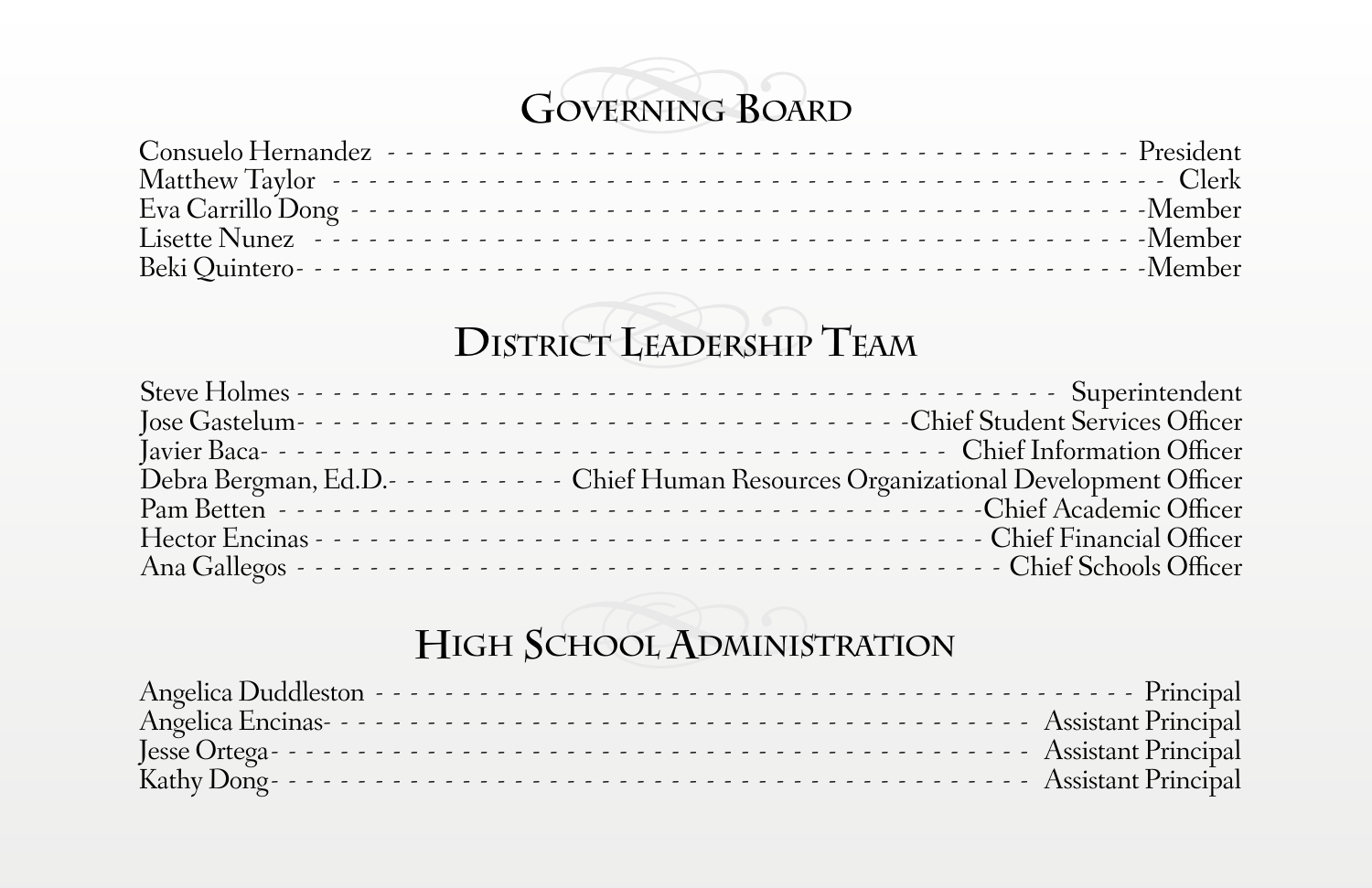# **Governing Board**

## **District Leadership Team**

| Debra Bergman, Ed.D.- - - - - - - - - - Chief Human Resources Organizational Development Officer |
|--------------------------------------------------------------------------------------------------|
|                                                                                                  |
|                                                                                                  |
|                                                                                                  |

#### **High School Administration**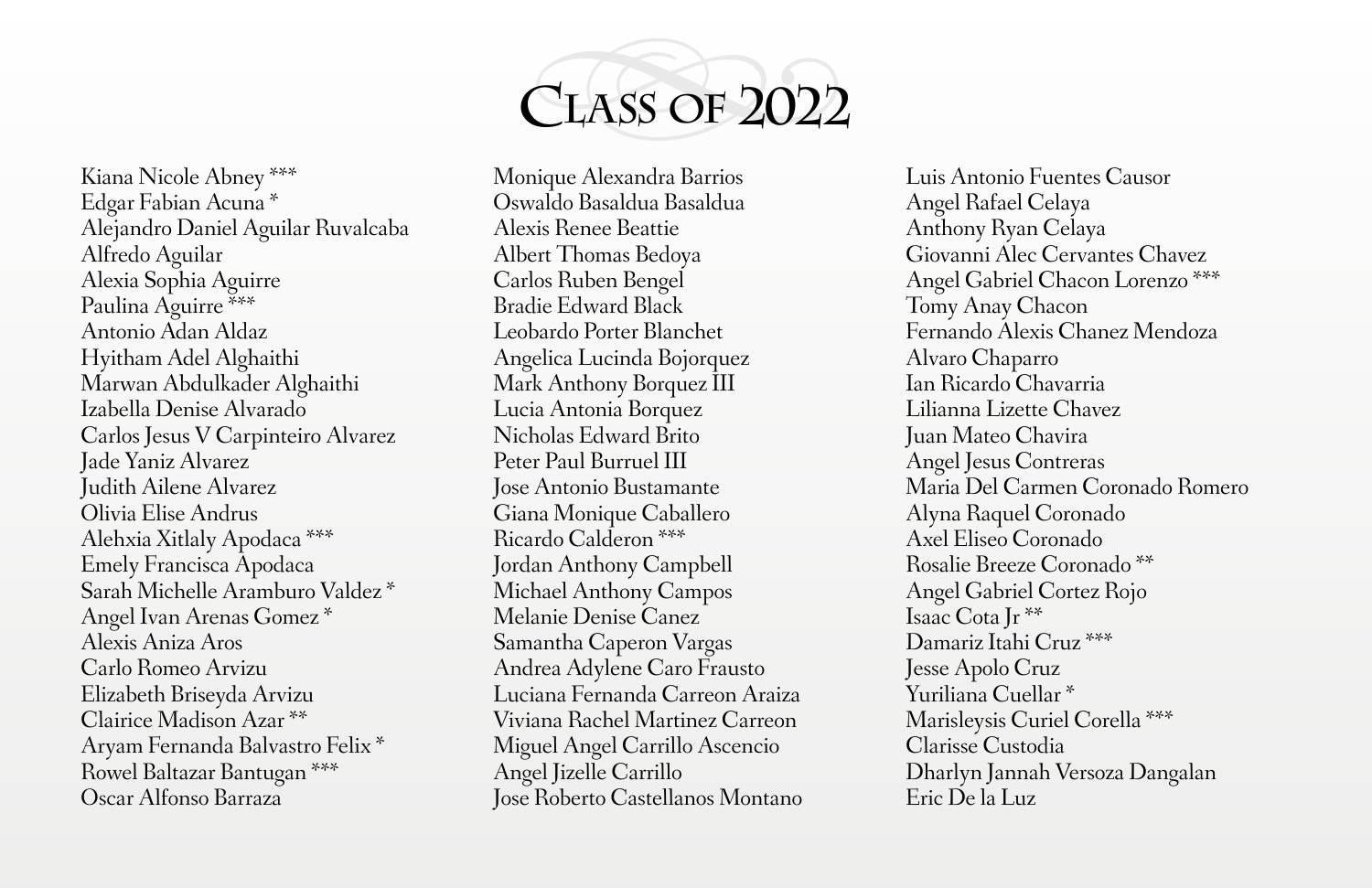

Kiana Nicole Abney \*\*\* Edgar Fabian Acuna \* Alejandro Daniel Aguilar Ruvalcaba Alfredo Aguilar Alexia Sophia Aguirre Paulina Aguirre \*\*\* Antonio Adan Aldaz Hyitham Adel Alghaithi Marwan Abdulkader Alghaithi Izabella Denise Alvarado Carlos Jesus V Carpinteiro Alvarez Jade Yaniz Alvarez Judith Ailene Alvarez Olivia Elise Andrus Alehxia Xitlaly Apodaca \*\*\* Emely Francisca Apodaca Sarah Michelle Aramburo Valdez \* Angel Ivan Arenas Gomez \* Alexis Aniza Aros Carlo Romeo Arvizu Elizabeth Briseyda Arvizu Clairice Madison Azar \*\* Aryam Fernanda Balvastro Felix \* Rowel Baltazar Bantugan \*\*\* Oscar Alfonso Barraza

Monique Alexandra Barrios Oswaldo Basaldua Basaldua Alexis Renee Beattie Albert Thomas Bedoya Carlos Ruben Bengel Bradie Edward Black Leobardo Porter Blanchet Angelica Lucinda Bojorquez Mark Anthony Borquez III Lucia Antonia Borquez Nicholas Edward Brito Peter Paul Burruel III Jose Antonio Bustamante Giana Monique Caballero Ricardo Calderon \*\*\* Jordan Anthony Campbell Michael Anthony Campos Melanie Denise Canez Samantha Caperon Vargas Andrea Adylene Caro Frausto Luciana Fernanda Carreon Araiza Viviana Rachel Martinez Carreon Miguel Angel Carrillo Ascencio Angel Jizelle Carrillo Jose Roberto Castellanos Montano

Luis Antonio Fuentes Causor Angel Rafael Celaya Anthony Ryan Celaya Giovanni Alec Cervantes Chavez Angel Gabriel Chacon Lorenzo \*\*\* Tomy Anay Chacon Fernando Alexis Chanez Mendoza Alvaro Chaparro Ian Ricardo Chavarria Lilianna Lizette Chavez Juan Mateo Chavira Angel Jesus Contreras Maria Del Carmen Coronado Romero Alyna Raquel Coronado Axel Eliseo Coronado Rosalie Breeze Coronado \*\* Angel Gabriel Cortez Rojo Isaac Cota Jr \*\* Damariz Itahi Cruz \*\*\* Jesse Apolo Cruz Yuriliana Cuellar \* Marisleysis Curiel Corella \*\*\* Clarisse Custodia Dharlyn Jannah Versoza Dangalan Eric De la Luz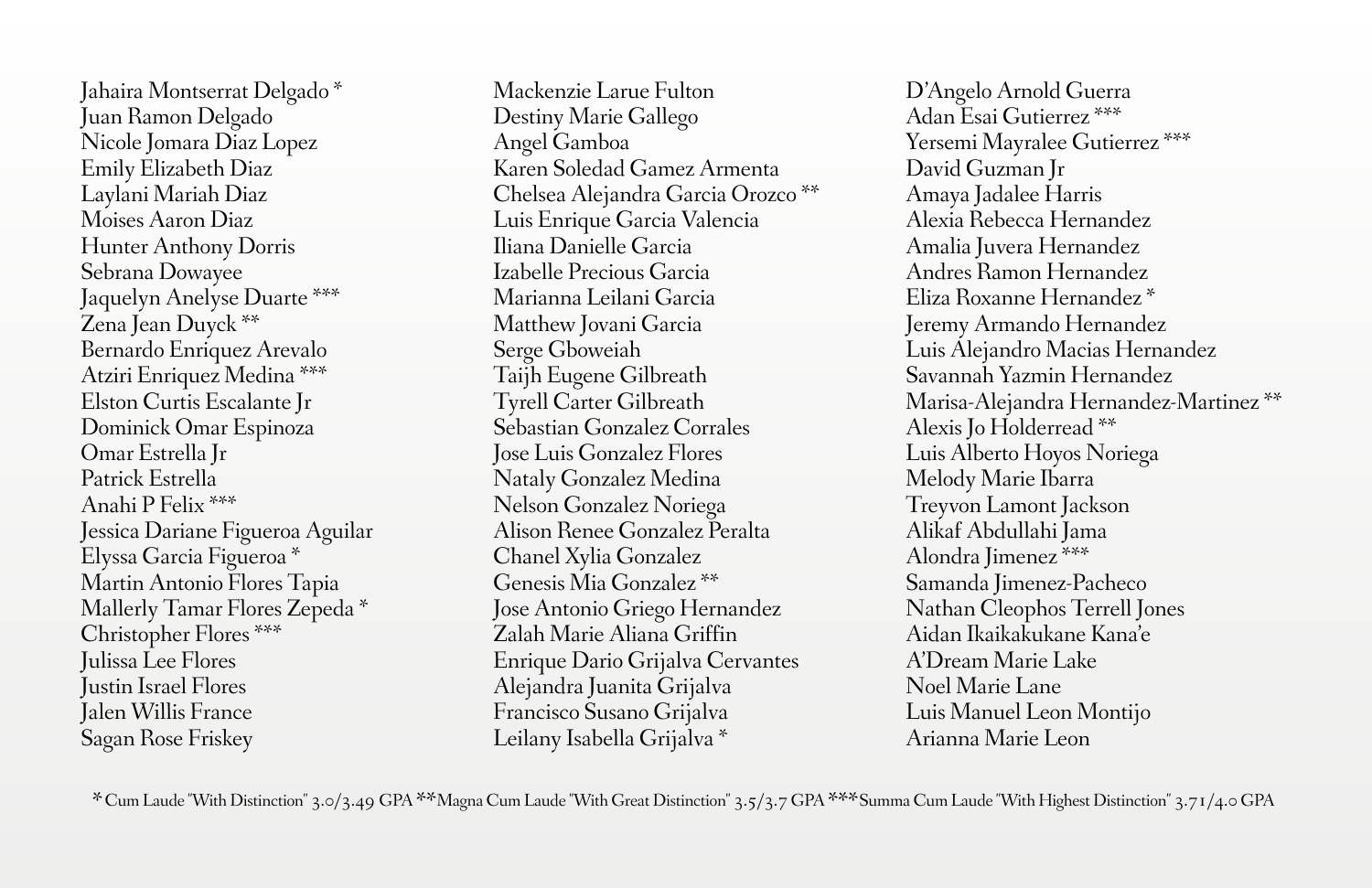Jahaira Montserrat Delgado \* Juan Ramon Delgado Nicole Jomara Diaz Lopez Emily Elizabeth Diaz Laylani Mariah Diaz Moises Aaron Diaz Hunter Anthony Dorris Sebrana Dowayee Jaquelyn Anelyse Duarte \*\*\* Zena Jean Duyck \*\* Bernardo Enriquez Arevalo Atziri Enriquez Medina \*\*\* Elston Curtis Escalante Jr Dominick Omar Espinoza Omar Estrella Jr Patrick Estrella Anahi P Felix \*\*\* Jessica Dariane Figueroa Aguilar Elyssa Garcia Figueroa \* Martin Antonio Flores Tapia Mallerly Tamar Flores Zepeda \* Christopher Flores \*\*\* Julissa Lee Flores Justin Israel Flores Jalen Willis France Sagan Rose Friskey

Mackenzie Larue Fulton Destiny Marie Gallego Angel Gamboa Karen Soledad Gamez Armenta Chelsea Alejandra Garcia Orozco \*\* Luis Enrique Garcia Valencia Iliana Danielle Garcia Izabelle Precious Garcia Marianna Leilani Garcia Matthew Jovani Garcia Serge Gboweiah Taijh Eugene Gilbreath Tyrell Carter Gilbreath Sebastian Gonzalez Corrales Jose Luis Gonzalez Flores Nataly Gonzalez Medina Nelson Gonzalez Noriega Alison Renee Gonzalez Peralta Chanel Xylia Gonzalez Genesis Mia Gonzalez \*\* Jose Antonio Griego Hernandez Zalah Marie Aliana Griffin Enrique Dario Grijalva Cervantes Alejandra Juanita Grijalva Francisco Susano Grijalva Leilany Isabella Grijalva \*

D'Angelo Arnold Guerra Adan Esai Gutierrez \*\*\* Yersemi Mayralee Gutierrez \*\*\* David Guzman Jr Amaya Jadalee Harris Alexia Rebecca Hernandez Amalia Juvera Hernandez Andres Ramon Hernandez Eliza Roxanne Hernandez \* Jeremy Armando Hernandez Luis Alejandro Macias Hernandez Savannah Yazmin Hernandez Marisa-Alejandra Hernandez-Martinez \*\* Alexis Jo Holderread \*\* Luis Alberto Hoyos Noriega Melody Marie Ibarra Treyvon Lamont Jackson Alikaf Abdullahi Jama Alondra Jimenez \*\*\* Samanda Jimenez-Pacheco Nathan Cleophos Terrell Jones Aidan Ikaikakukane Kana'e A'Dream Marie Lake Noel Marie Lane Luis Manuel Leon Montijo Arianna Marie Leon

\*Cum Laude "With Distinction" 3.0/3.49 GPA \*\*Magna Cum Laude "With Great Distinction" 3.5/3.7 GPA \*\*\*Summa Cum Laude "With Highest Distinction" 3.71/4.0 GPA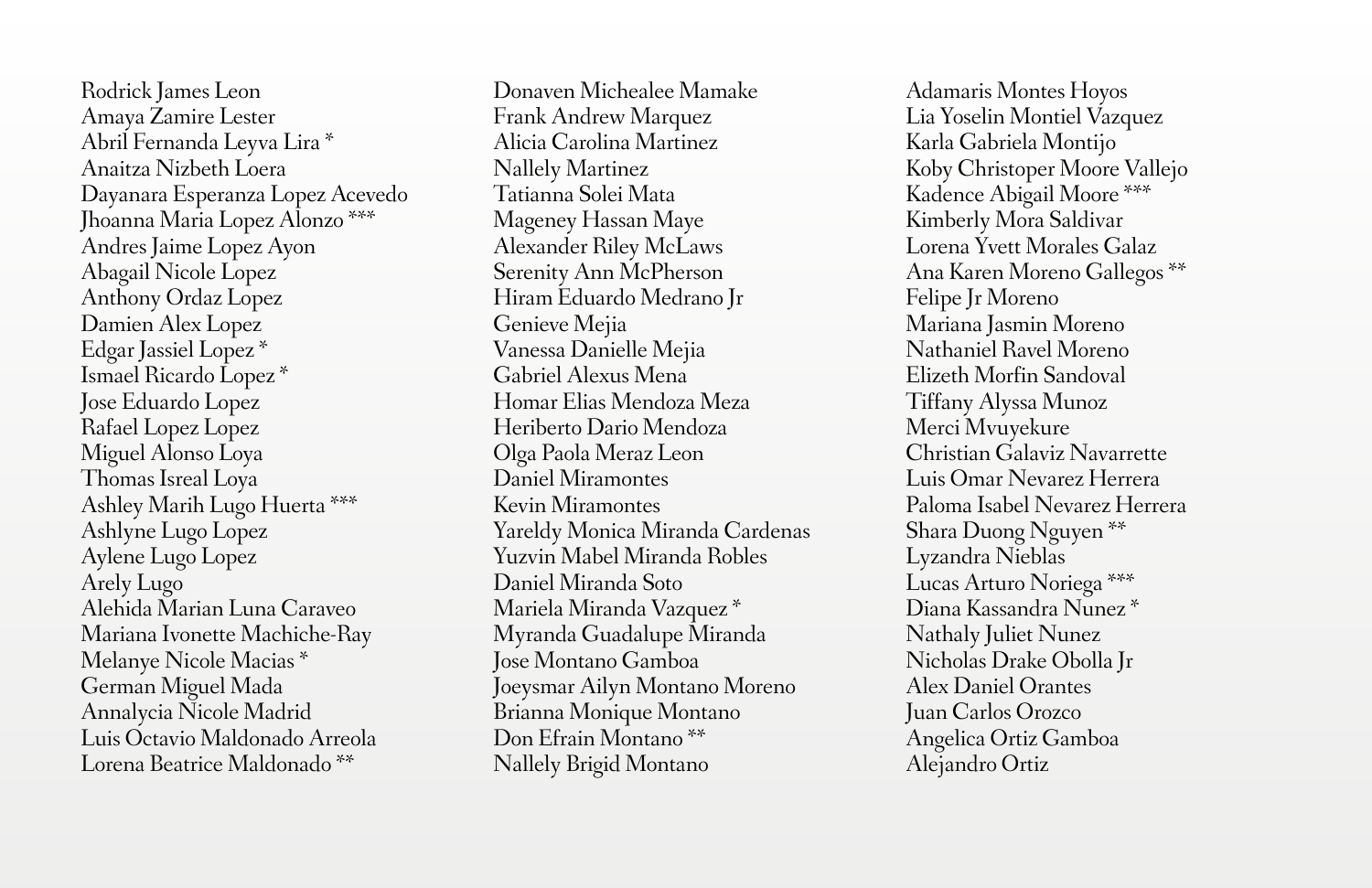Rodrick James Leon Amaya Zamire Lester Abril Fernanda Leyva Lira \* Anaitza Nizbeth Loera Dayanara Esperanza Lopez Acevedo Jhoanna Maria Lopez Alonzo \*\*\* Andres Jaime Lopez Ayon Abagail Nicole Lopez Anthony Ordaz Lopez Damien Alex Lopez Edgar Jassiel Lopez \* Ismael Ricardo Lopez \* Jose Eduardo Lopez Rafael Lopez Lopez Miguel Alonso Loya Thomas Isreal Loya Ashley Marih Lugo Huerta \*\*\* Ashlyne Lugo Lopez Aylene Lugo Lopez Arely Lugo Alehida Marian Luna Caraveo Mariana Ivonette Machiche-Ray Melanye Nicole Macias \* German Miguel Mada Annalycia Nicole Madrid Luis Octavio Maldonado Arreola Lorena Beatrice Maldonado \*\*

Donaven Michealee Mamake Frank Andrew Marquez Alicia Carolina Martinez Nallely Martinez Tatianna Solei Mata Mageney Hassan Maye Alexander Riley McLaws Serenity Ann McPherson Hiram Eduardo Medrano Jr Genieve Mejia Vanessa Danielle Mejia Gabriel Alexus Mena Homar Elias Mendoza Meza Heriberto Dario Mendoza Olga Paola Meraz Leon Daniel Miramontes Kevin Miramontes Yareldy Monica Miranda Cardenas Yuzvin Mabel Miranda Robles Daniel Miranda Soto Mariela Miranda Vazquez \* Myranda Guadalupe Miranda Jose Montano Gamboa Joeysmar Ailyn Montano Moreno Brianna Monique Montano Don Efrain Montano \*\* Nallely Brigid Montano

Adamaris Montes Hoyos Lia Yoselin Montiel Vazquez Karla Gabriela Montijo Koby Christoper Moore Vallejo Kadence Abigail Moore \*\*\* Kimberly Mora Saldivar Lorena Yvett Morales Galaz Ana Karen Moreno Gallegos \*\* Felipe Jr Moreno Mariana Jasmin Moreno Nathaniel Ravel Moreno Elizeth Morfin Sandoval Tiffany Alyssa Munoz Merci Mvuyekure Christian Galaviz Navarrette Luis Omar Nevarez Herrera Paloma Isabel Nevarez Herrera Shara Duong Nguyen \*\* Lyzandra Nieblas Lucas Arturo Noriega \*\*\* Diana Kassandra Nunez \* Nathaly Juliet Nunez Nicholas Drake Obolla Jr Alex Daniel Orantes Juan Carlos Orozco Angelica Ortiz Gamboa Alejandro Ortiz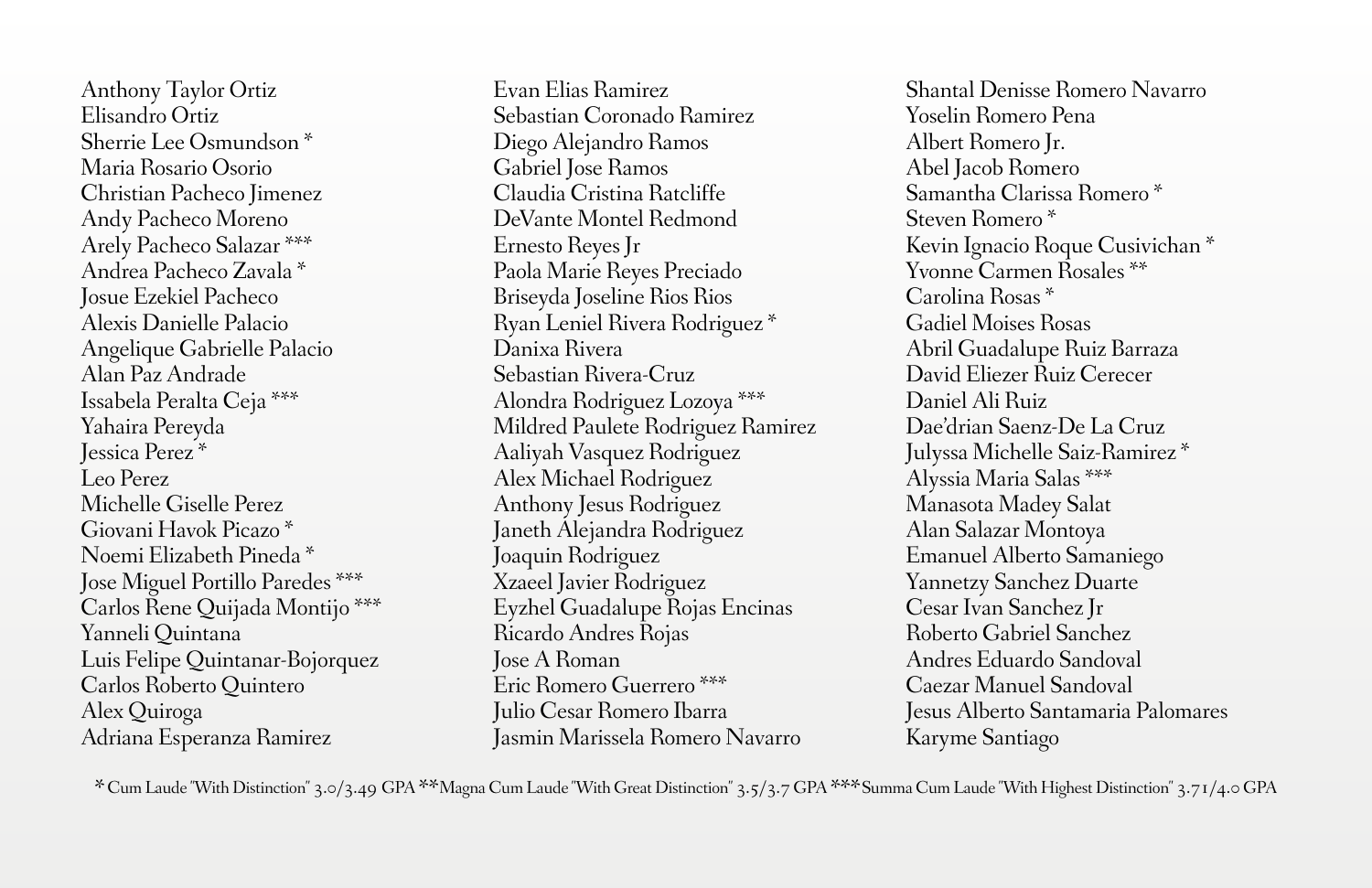Anthony Taylor Ortiz Elisandro Ortiz Sherrie Lee Osmundson \* Maria Rosario Osorio Christian Pacheco Jimenez Andy Pacheco Moreno Arely Pacheco Salazar \*\*\* Andrea Pacheco Zavala \* Josue Ezekiel Pacheco Alexis Danielle Palacio Angelique Gabrielle Palacio Alan Paz Andrade Issabela Peralta Ceja \*\*\* Yahaira Pereyda Jessica Perez \* Leo Perez Michelle Giselle Perez Giovani Havok Picazo \* Noemi Elizabeth Pineda \* Jose Miguel Portillo Paredes \*\*\* Carlos Rene Quijada Montijo \*\*\* Yanneli Quintana Luis Felipe Quintanar-Bojorquez Carlos Roberto Quintero Alex Quiroga Adriana Esperanza Ramirez

Evan Elias Ramirez Sebastian Coronado Ramirez Diego Alejandro Ramos Gabriel Jose Ramos Claudia Cristina Ratcliffe DeVante Montel Redmond Ernesto Reyes Jr Paola Marie Reyes Preciado Briseyda Joseline Rios Rios Ryan Leniel Rivera Rodriguez \* Danixa Rivera Sebastian Rivera-Cruz Alondra Rodriguez Lozoya \*\*\* Mildred Paulete Rodriguez Ramirez Aaliyah Vasquez Rodriguez Alex Michael Rodriguez Anthony Jesus Rodriguez Janeth Alejandra Rodriguez Joaquin Rodriguez Xzaeel Javier Rodriguez Eyzhel Guadalupe Rojas Encinas Ricardo Andres Rojas Jose A Roman Eric Romero Guerrero \*\*\* Julio Cesar Romero Ibarra Jasmin Marissela Romero Navarro

Shantal Denisse Romero Navarro Yoselin Romero Pena Albert Romero Jr. Abel Jacob Romero Samantha Clarissa Romero \* Steven Romero \* Kevin Ignacio Roque Cusivichan \* Yvonne Carmen Rosales \*\* Carolina Rosas \* Gadiel Moises Rosas Abril Guadalupe Ruiz Barraza David Eliezer Ruiz Cerecer Daniel Ali Ruiz Dae'drian Saenz-De La Cruz Julyssa Michelle Saiz-Ramirez \* Alyssia Maria Salas \*\*\* Manasota Madey Salat Alan Salazar Montoya Emanuel Alberto Samaniego Yannetzy Sanchez Duarte Cesar Ivan Sanchez Jr Roberto Gabriel Sanchez Andres Eduardo Sandoval Caezar Manuel Sandoval Jesus Alberto Santamaria Palomares Karyme Santiago

\*Cum Laude "With Distinction" 3.0/3.49 GPA \*\*Magna Cum Laude "With Great Distinction" 3.5/3.7 GPA \*\*\*Summa Cum Laude "With Highest Distinction" 3.71/4.0 GPA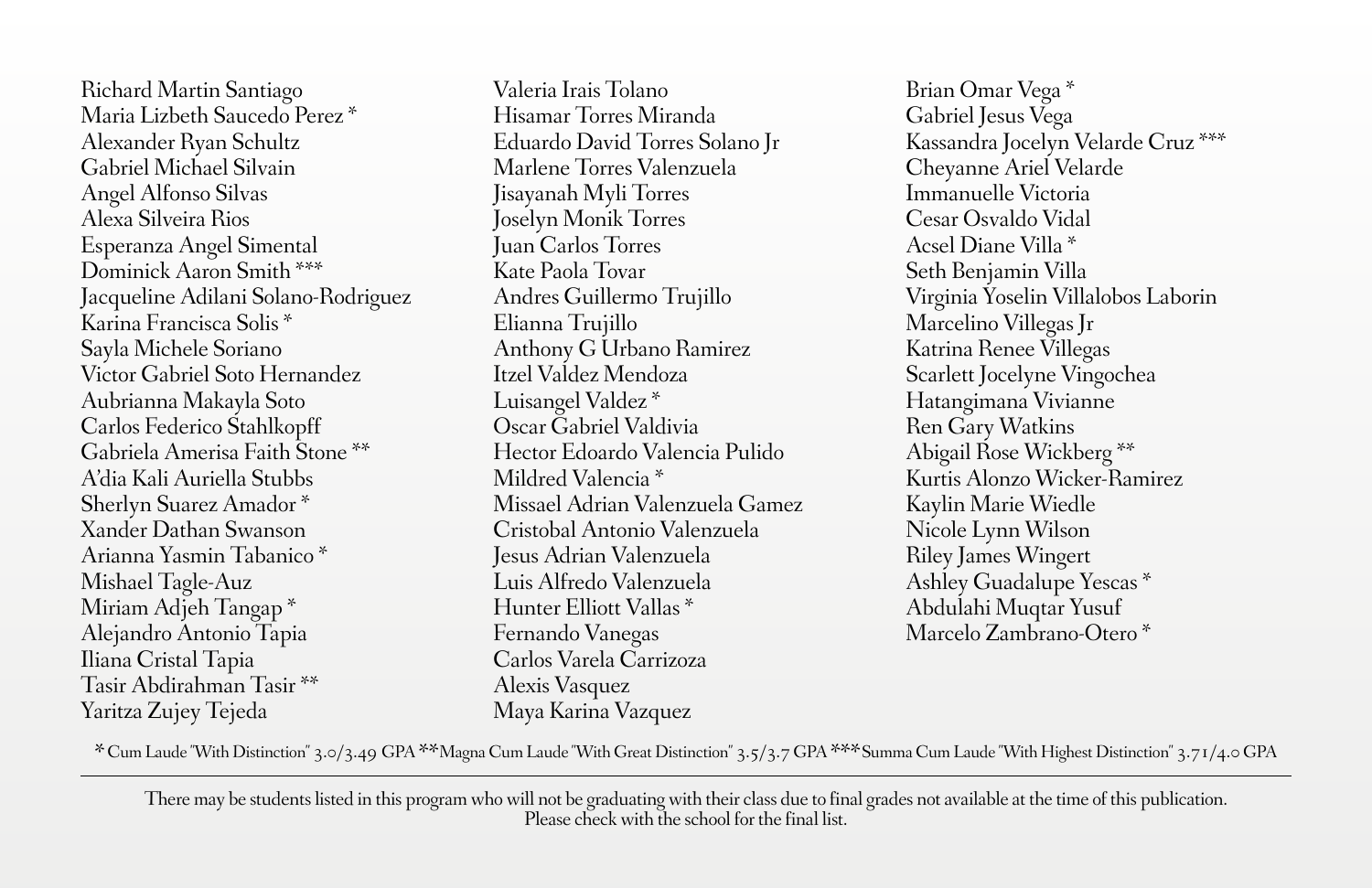Richard Martin Santiago Maria Lizbeth Saucedo Perez \* Alexander Ryan Schultz Gabriel Michael Silvain Angel Alfonso Silvas Alexa Silveira Rios Esperanza Angel Simental Dominick Aaron Smith \*\*\* Jacqueline Adilani Solano-Rodriguez Karina Francisca Solis \* Sayla Michele Soriano Victor Gabriel Soto Hernandez Aubrianna Makayla Soto Carlos Federico Stahlkopff Gabriela Amerisa Faith Stone \*\* A'dia Kali Auriella Stubbs Sherlyn Suarez Amador \* Xander Dathan Swanson Arianna Yasmin Tabanico \* Mishael Tagle-Auz Miriam Adjeh Tangap \* Alejandro Antonio Tapia Iliana Cristal Tapia Tasir Abdirahman Tasir \*\* Yaritza Zujey Tejeda

Valeria Irais Tolano Hisamar Torres Miranda Eduardo David Torres Solano Jr Marlene Torres Valenzuela Jisayanah Myli Torres Joselyn Monik Torres Juan Carlos Torres Kate Paola Tovar Andres Guillermo Trujillo Elianna Trujillo Anthony G Urbano Ramirez Itzel Valdez Mendoza Luisangel Valdez \* Oscar Gabriel Valdivia Hector Edoardo Valencia Pulido Mildred Valencia \* Missael Adrian Valenzuela Gamez Cristobal Antonio Valenzuela Jesus Adrian Valenzuela Luis Alfredo Valenzuela Hunter Elliott Vallas \* Fernando Vanegas Carlos Varela Carrizoza Alexis Vasquez Maya Karina Vazquez

Brian Omar Vega \* Gabriel Jesus Vega Kassandra Jocelyn Velarde Cruz \*\*\* Cheyanne Ariel Velarde Immanuelle Victoria Cesar Osvaldo Vidal Acsel Diane Villa \* Seth Benjamin Villa Virginia Yoselin Villalobos Laborin Marcelino Villegas Jr Katrina Renee Villegas Scarlett Jocelyne Vingochea Hatangimana Vivianne Ren Gary Watkins Abigail Rose Wickberg \*\* Kurtis Alonzo Wicker-Ramirez Kaylin Marie Wiedle Nicole Lynn Wilson Riley James Wingert Ashley Guadalupe Yescas \* Abdulahi Muqtar Yusuf Marcelo Zambrano-Otero \*

\*Cum Laude "With Distinction" 3.0/3.49 GPA \*\*Magna Cum Laude "With Great Distinction" 3.5/3.7 GPA \*\*\*Summa Cum Laude "With Highest Distinction" 3.71/4.0 GPA

There may be students listed in this program who will not be graduating with their class due to final grades not available at the time of this publication. Please check with the school for the final list.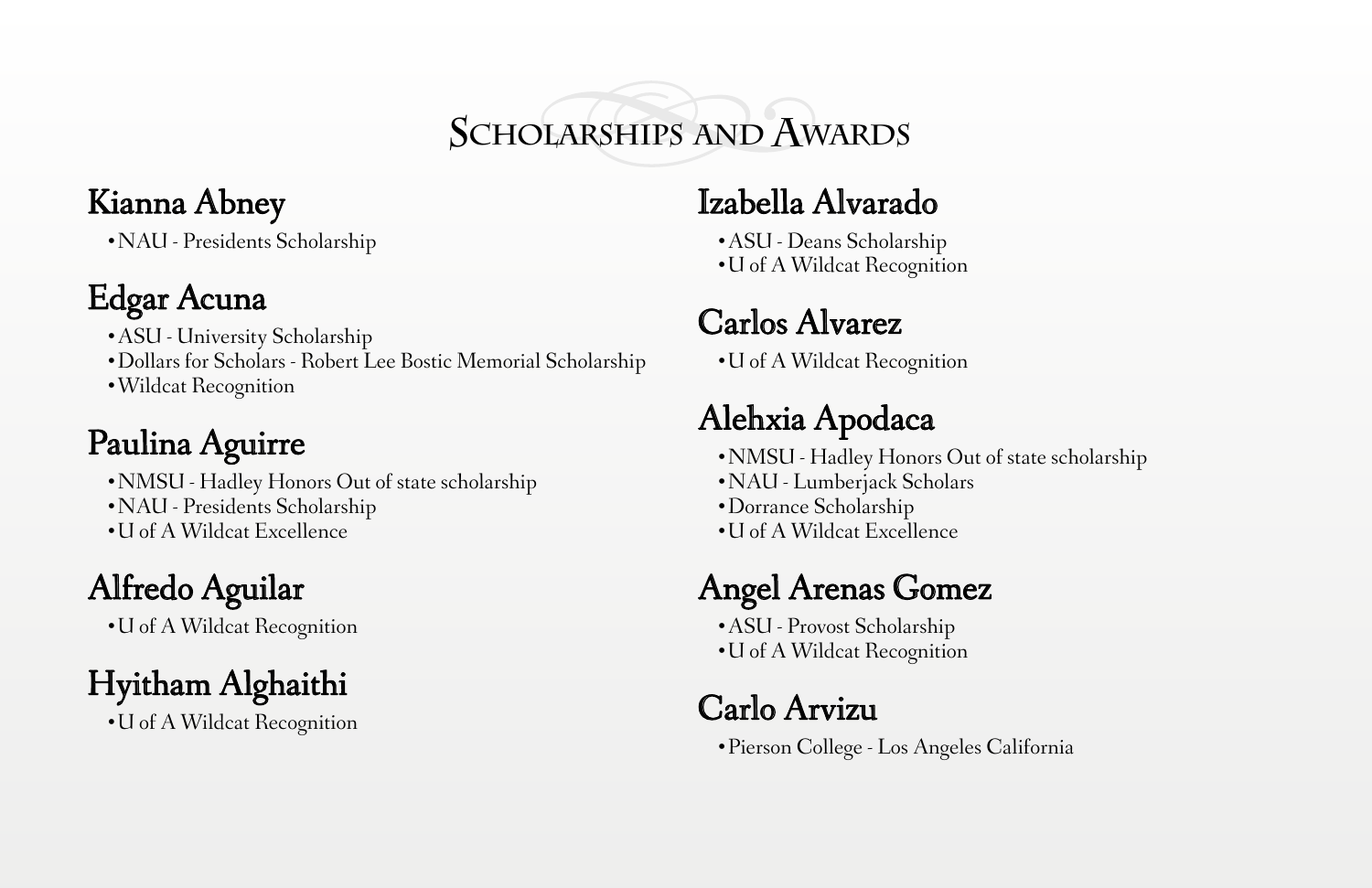**Scholarships and Awards**

#### Kianna Abney

•NAU - Presidents Scholarship

### Edgar Acuna

- •ASU University Scholarship
- •Dollars for Scholars Robert Lee Bostic Memorial Scholarship
- •Wildcat Recognition

# Paulina Aguirre

- •NMSU Hadley Honors Out of state scholarship
- •NAU Presidents Scholarship
- •U of A Wildcat Excellence

# Alfredo Aguilar

•U of A Wildcat Recognition

Hyitham Alghaithi

•U of A Wildcat Recognition

#### Izabella Alvarado

- •ASU Deans Scholarship
- •U of A Wildcat Recognition

## Carlos Alvarez

•U of A Wildcat Recognition

# Alehxia Apodaca

- •NMSU Hadley Honors Out of state scholarship
- •NAU Lumberjack Scholars
- •Dorrance Scholarship
- •U of A Wildcat Excellence

# Angel Arenas Gomez

- •ASU Provost Scholarship
- •U of A Wildcat Recognition

#### Carlo Arvizu

•Pierson College - Los Angeles California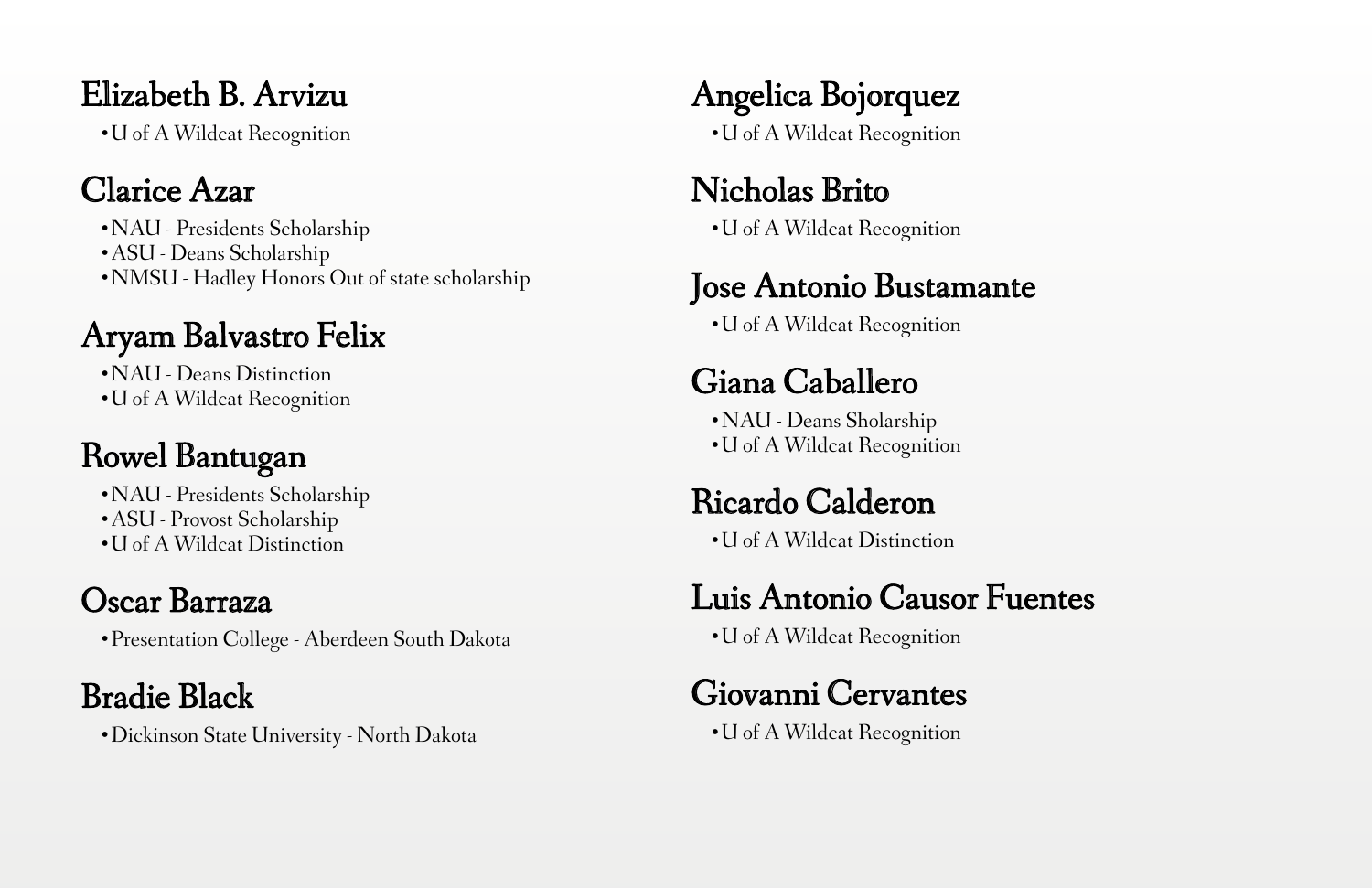#### Elizabeth B. Arvizu

•U of A Wildcat Recognition

#### Clarice Azar

•NAU - Presidents Scholarship

•ASU - Deans Scholarship

•NMSU - Hadley Honors Out of state scholarship

#### Aryam Balvastro Felix

•NAU - Deans Distinction

•U of A Wildcat Recognition

# Rowel Bantugan

•NAU - Presidents Scholarship

•ASU - Provost Scholarship

•U of A Wildcat Distinction

## Oscar Barraza

•Presentation College - Aberdeen South Dakota

## Bradie Black

•Dickinson State University - North Dakota

Angelica Bojorquez •U of A Wildcat Recognition

# Nicholas Brito

•U of A Wildcat Recognition

### Jose Antonio Bustamante

•U of A Wildcat Recognition

## Giana Caballero

•NAU - Deans Sholarship •U of A Wildcat Recognition

## Ricardo Calderon

•U of A Wildcat Distinction

#### Luis Antonio Causor Fuentes

•U of A Wildcat Recognition

## Giovanni Cervantes

•U of A Wildcat Recognition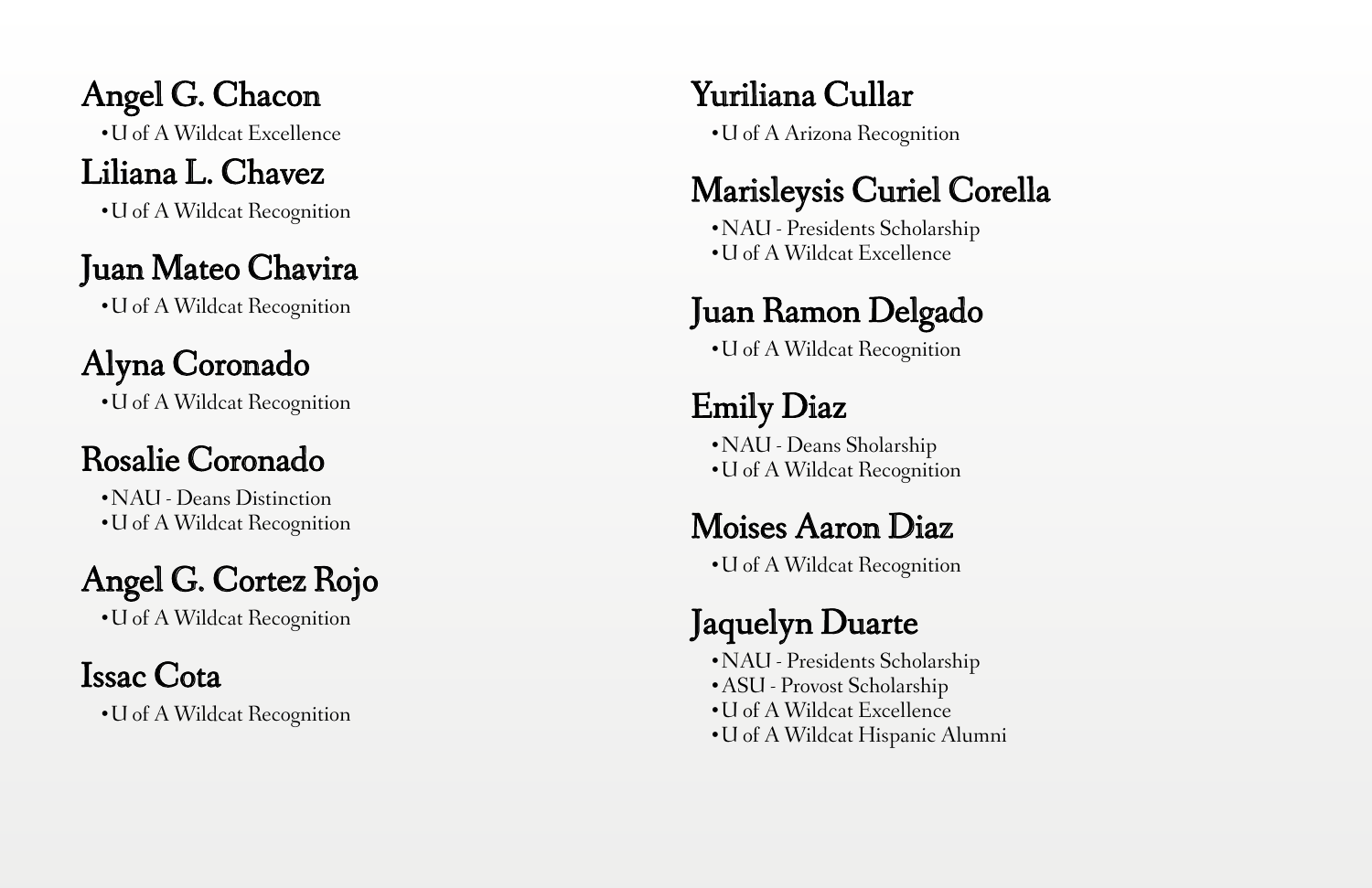Angel G. Chacon •U of A Wildcat Excellence

#### Liliana L. Chavez

•U of A Wildcat Recognition

#### Juan Mateo Chavira

•U of A Wildcat Recognition

# Alyna Coronado

•U of A Wildcat Recognition

### Rosalie Coronado

•NAU - Deans Distinction •U of A Wildcat Recognition

## Angel G. Cortez Rojo

•U of A Wildcat Recognition

#### Issac Cota

•U of A Wildcat Recognition

#### Yuriliana Cullar

•U of A Arizona Recognition

### Marisleysis Curiel Corella

•NAU - Presidents Scholarship •U of A Wildcat Excellence

## Juan Ramon Delgado

•U of A Wildcat Recognition

## Emily Diaz

•NAU - Deans Sholarship •U of A Wildcat Recognition

#### Moises Aaron Diaz

•U of A Wildcat Recognition

# Jaquelyn Duarte

•NAU - Presidents Scholarship •ASU - Provost Scholarship •U of A Wildcat Excellence •U of A Wildcat Hispanic Alumni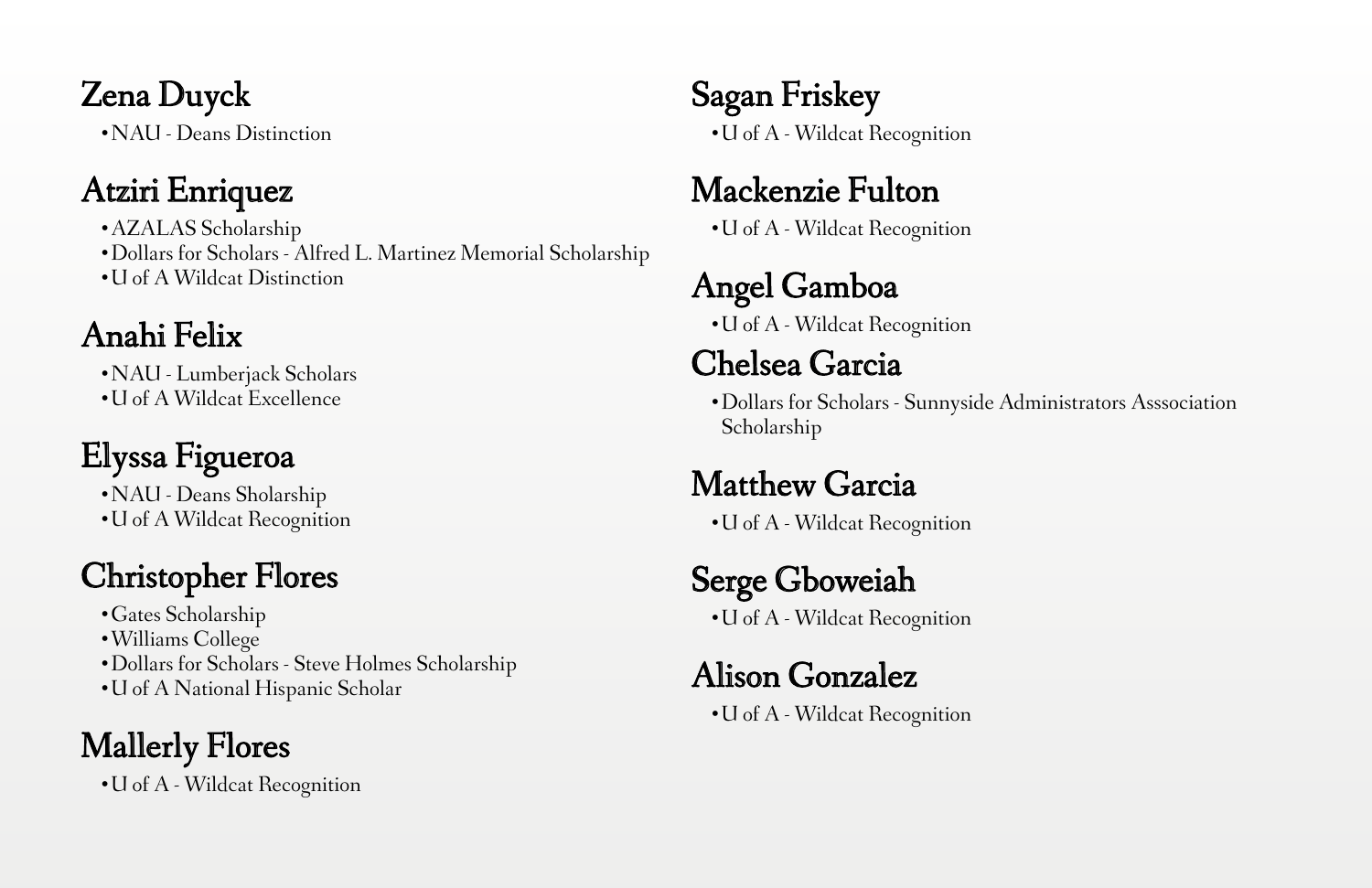#### Zena Duyck

•NAU - Deans Distinction

### Atziri Enriquez

•AZALAS Scholarship

•Dollars for Scholars - Alfred L. Martinez Memorial Scholarship

•U of A Wildcat Distinction

## Anahi Felix

•NAU - Lumberjack Scholars

•U of A Wildcat Excellence

# Elyssa Figueroa

•NAU - Deans Sholarship •U of A Wildcat Recognition

## Christopher Flores

•Gates Scholarship

- •Williams College
- •Dollars for Scholars Steve Holmes Scholarship
- •U of A National Hispanic Scholar

# Mallerly Flores

•U of A - Wildcat Recognition

#### Sagan Friskey •U of A - Wildcat Recognition

#### Mackenzie Fulton

•U of A - Wildcat Recognition

# Angel Gamboa

•U of A - Wildcat Recognition

### Chelsea Garcia

•Dollars for Scholars - Sunnyside Administrators Asssociation Scholarship

#### Matthew Garcia

•U of A - Wildcat Recognition

## Serge Gboweiah

•U of A - Wildcat Recognition

#### Alison Gonzalez

•U of A - Wildcat Recognition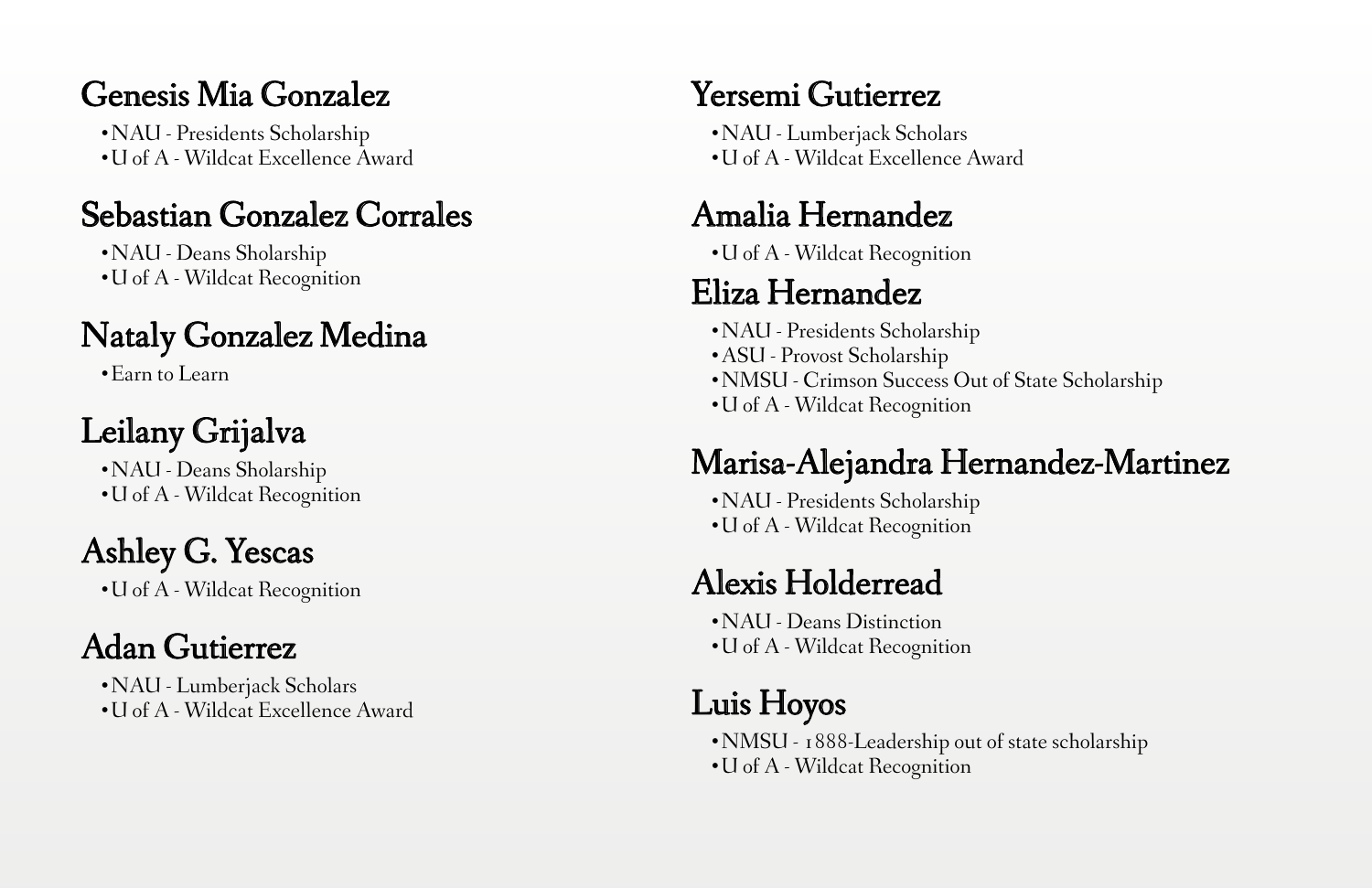#### Genesis Mia Gonzalez

•NAU - Presidents Scholarship •U of A - Wildcat Excellence Award

#### Sebastian Gonzalez Corrales

•NAU - Deans Sholarship •U of A - Wildcat Recognition

### Nataly Gonzalez Medina

•Earn to Learn

# Leilany Grijalva

•NAU - Deans Sholarship •U of A - Wildcat Recognition

## Ashley G. Yescas

•U of A - Wildcat Recognition

# Adan Gutierrez

•NAU - Lumberjack Scholars •U of A - Wildcat Excellence Award

#### Yersemi Gutierrez

•NAU - Lumberjack Scholars •U of A - Wildcat Excellence Award

#### Amalia Hernandez

•U of A - Wildcat Recognition

#### Eliza Hernandez

•NAU - Presidents Scholarship

- •ASU Provost Scholarship
- •NMSU Crimson Success Out of State Scholarship
- •U of A Wildcat Recognition

#### Marisa-Alejandra Hernandez-Martinez

•NAU - Presidents Scholarship •U of A - Wildcat Recognition

#### Alexis Holderread

•NAU - Deans Distinction •U of A - Wildcat Recognition

## Luis Hoyos

•NMSU - 1888-Leadership out of state scholarship •U of A - Wildcat Recognition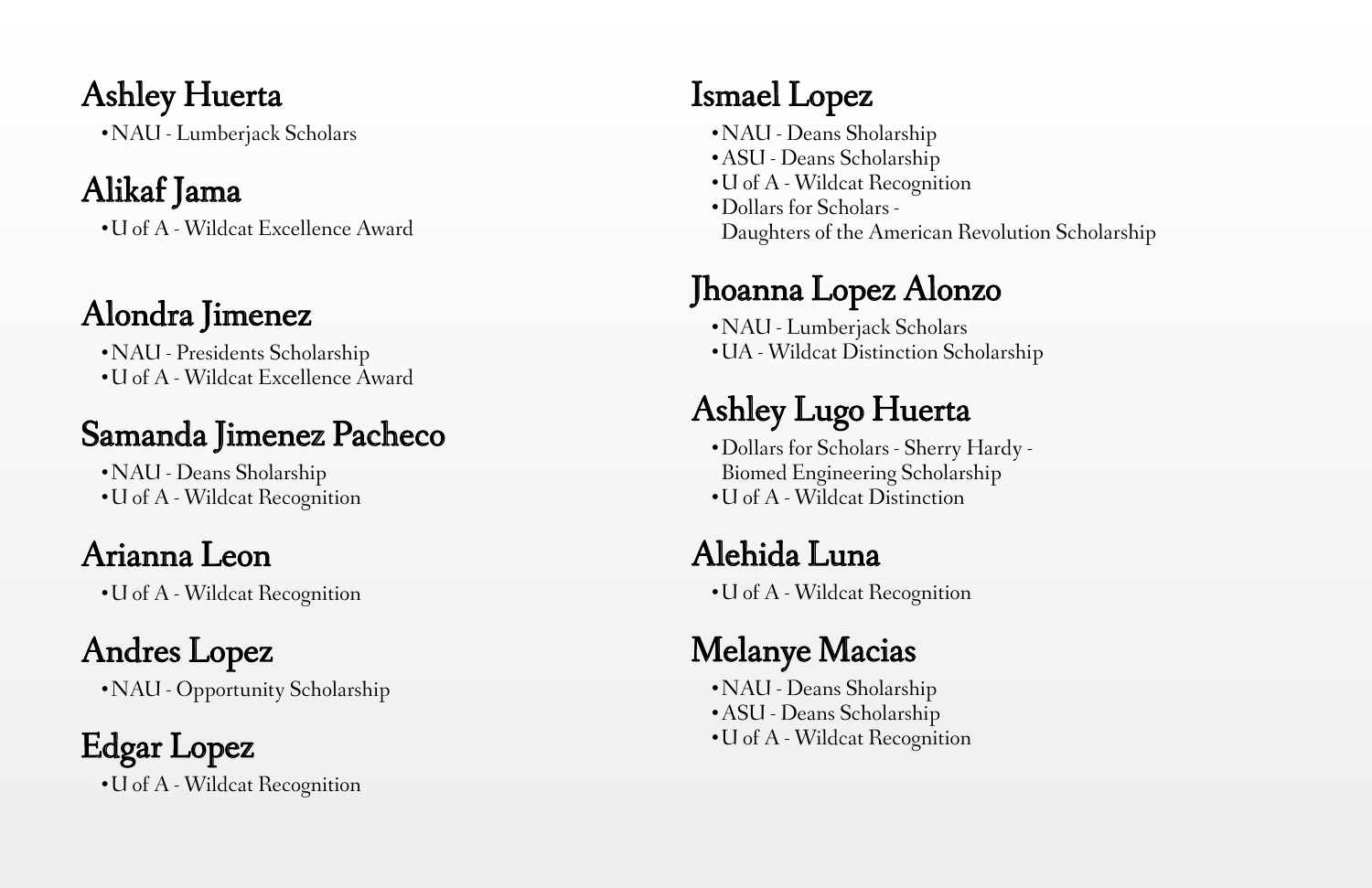Ashley Huerta

•NAU - Lumberjack Scholars

#### Alikaf Jama

•U of A - Wildcat Excellence Award

# Alondra Jimenez

•NAU - Presidents Scholarship •U of A - Wildcat Excellence Award

#### Samanda Jimenez Pacheco

•NAU - Deans Sholarship •U of A - Wildcat Recognition

# Arianna Leon

•U of A - Wildcat Recognition

# Andres Lopez

•NAU - Opportunity Scholarship

#### Edgar Lopez •U of A - Wildcat Recognition

#### Ismael Lopez

- •NAU Deans Sholarship
- •ASU Deans Scholarship
- •U of A Wildcat Recognition
- •Dollars for Scholars -Daughters of the American Revolution Scholarship

### Jhoanna Lopez Alonzo

•NAU - Lumberjack Scholars •UA - Wildcat Distinction Scholarship

# Ashley Lugo Huerta

•Dollars for Scholars - Sherry Hardy -Biomed Engineering Scholarship •U of A - Wildcat Distinction

# Alehida Luna

•U of A - Wildcat Recognition

## Melanye Macias

•NAU - Deans Sholarship •ASU - Deans Scholarship •U of A - Wildcat Recognition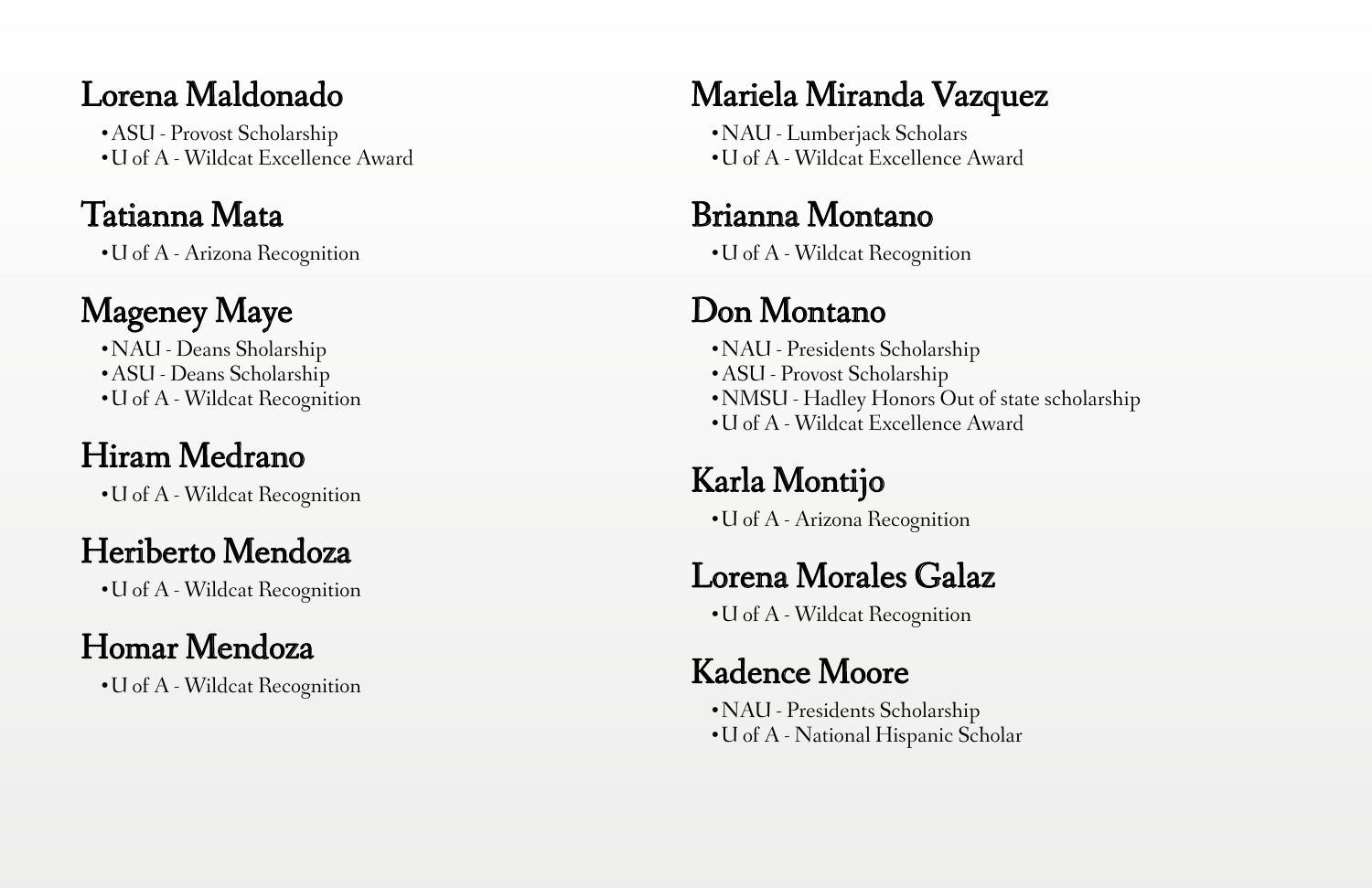#### Lorena Maldonado

•ASU - Provost Scholarship •U of A - Wildcat Excellence Award

#### Tatianna Mata

•U of A - Arizona Recognition

# Mageney Maye

•NAU - Deans Sholarship •ASU - Deans Scholarship •U of A - Wildcat Recognition

## Hiram Medrano

•U of A - Wildcat Recognition

## Heriberto Mendoza

•U of A - Wildcat Recognition

# Homar Mendoza

•U of A - Wildcat Recognition

### Mariela Miranda Vazquez

•NAU - Lumberjack Scholars •U of A - Wildcat Excellence Award

#### Brianna Montano

•U of A - Wildcat Recognition

### Don Montano

•NAU - Presidents Scholarship •ASU - Provost Scholarship •NMSU - Hadley Honors Out of state scholarship •U of A - Wildcat Excellence Award

## Karla Montijo

•U of A - Arizona Recognition

## Lorena Morales Galaz

•U of A - Wildcat Recognition

#### Kadence Moore

•NAU - Presidents Scholarship •U of A - National Hispanic Scholar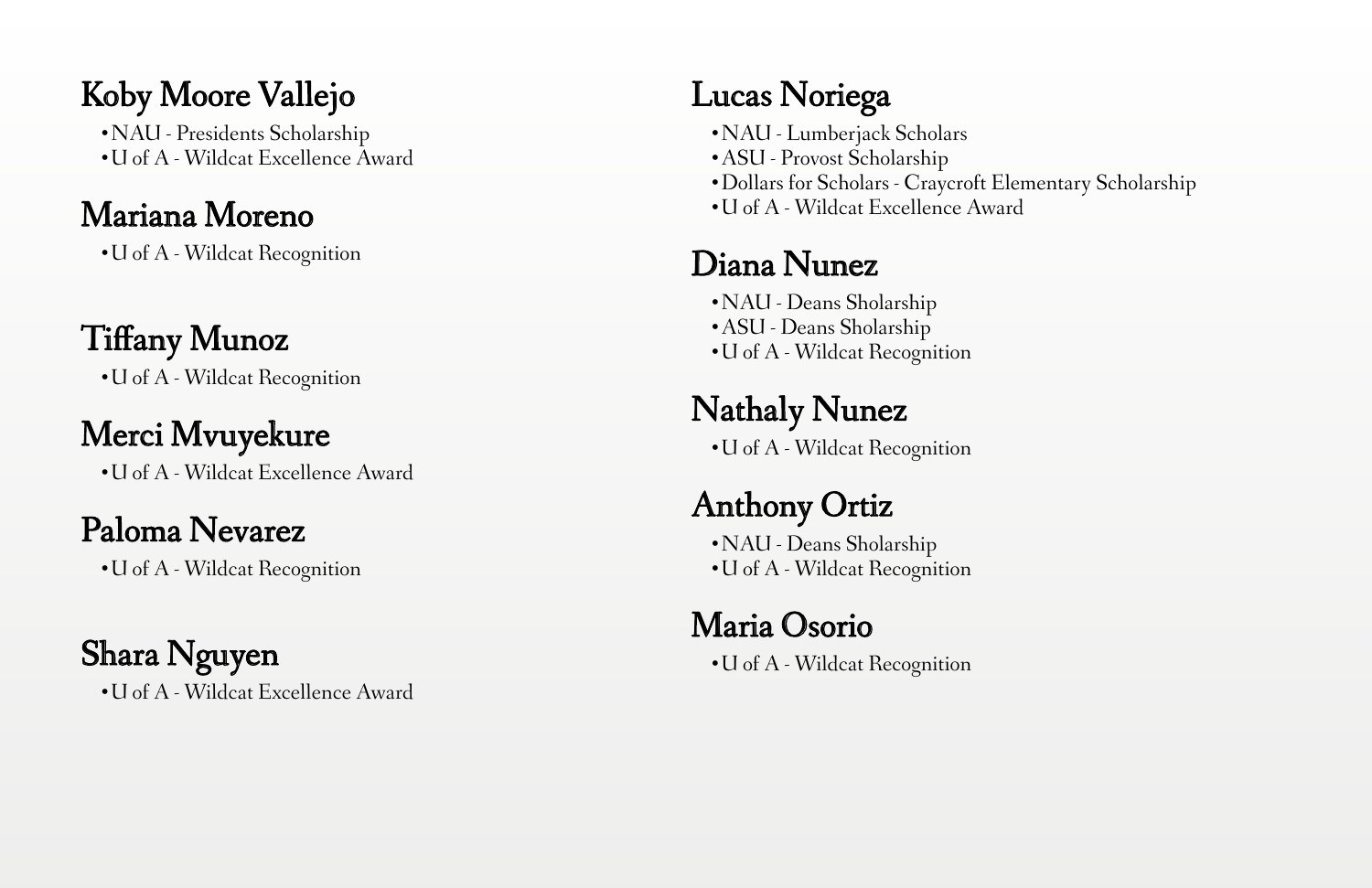#### Koby Moore Vallejo

•NAU - Presidents Scholarship •U of A - Wildcat Excellence Award

#### Mariana Moreno

•U of A - Wildcat Recognition

### Tiffany Munoz

•U of A - Wildcat Recognition

#### Merci Mvuyekure

•U of A - Wildcat Excellence Award

#### Paloma Nevarez

•U of A - Wildcat Recognition

# Shara Nguyen

•U of A - Wildcat Excellence Award

# Lucas Noriega

- •NAU Lumberjack Scholars
- •ASU Provost Scholarship
- •Dollars for Scholars Craycroft Elementary Scholarship
- •U of A Wildcat Excellence Award

### Diana Nunez

•NAU - Deans Sholarship •ASU - Deans Sholarship •U of A - Wildcat Recognition

# Nathaly Nunez

•U of A - Wildcat Recognition

# Anthony Ortiz

•NAU - Deans Sholarship •U of A - Wildcat Recognition

## Maria Osorio

•U of A - Wildcat Recognition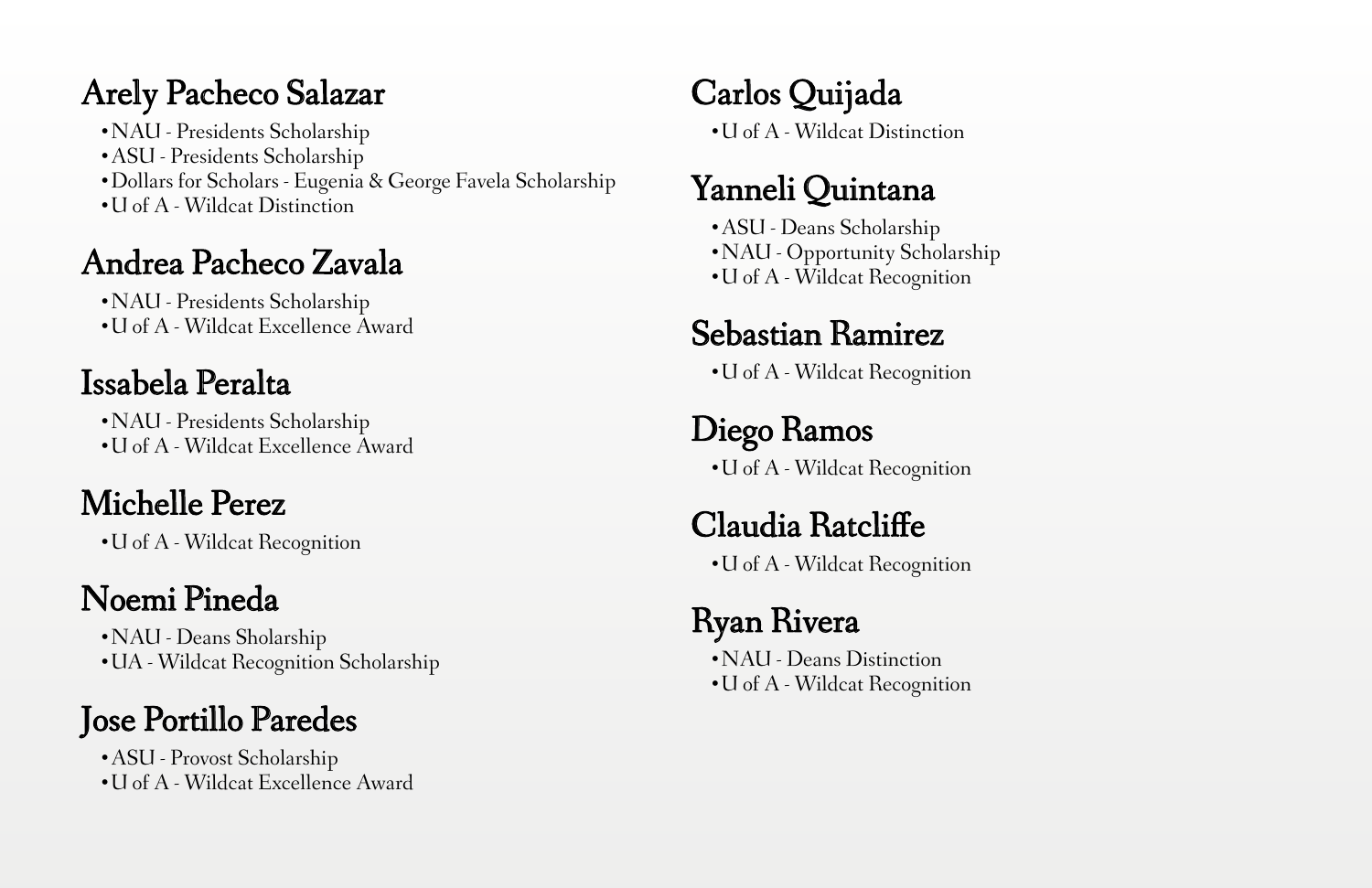#### Arely Pacheco Salazar

•NAU - Presidents Scholarship

- •ASU Presidents Scholarship
- •Dollars for Scholars Eugenia & George Favela Scholarship
- •U of A Wildcat Distinction

### Andrea Pacheco Zavala

•NAU - Presidents Scholarship •U of A - Wildcat Excellence Award

# Issabela Peralta

•NAU - Presidents Scholarship •U of A - Wildcat Excellence Award

# Michelle Perez

•U of A - Wildcat Recognition

## Noemi Pineda

•NAU - Deans Sholarship •UA - Wildcat Recognition Scholarship

## Jose Portillo Paredes

•ASU - Provost Scholarship •U of A - Wildcat Excellence Award

# Carlos Quijada

•U of A - Wildcat Distinction

#### Yanneli Quintana

•ASU - Deans Scholarship •NAU - Opportunity Scholarship •U of A - Wildcat Recognition

#### Sebastian Ramirez

•U of A - Wildcat Recognition

# Diego Ramos

•U of A - Wildcat Recognition

#### Claudia Ratcliffe

•U of A - Wildcat Recognition

## Ryan Rivera

•NAU - Deans Distinction •U of A - Wildcat Recognition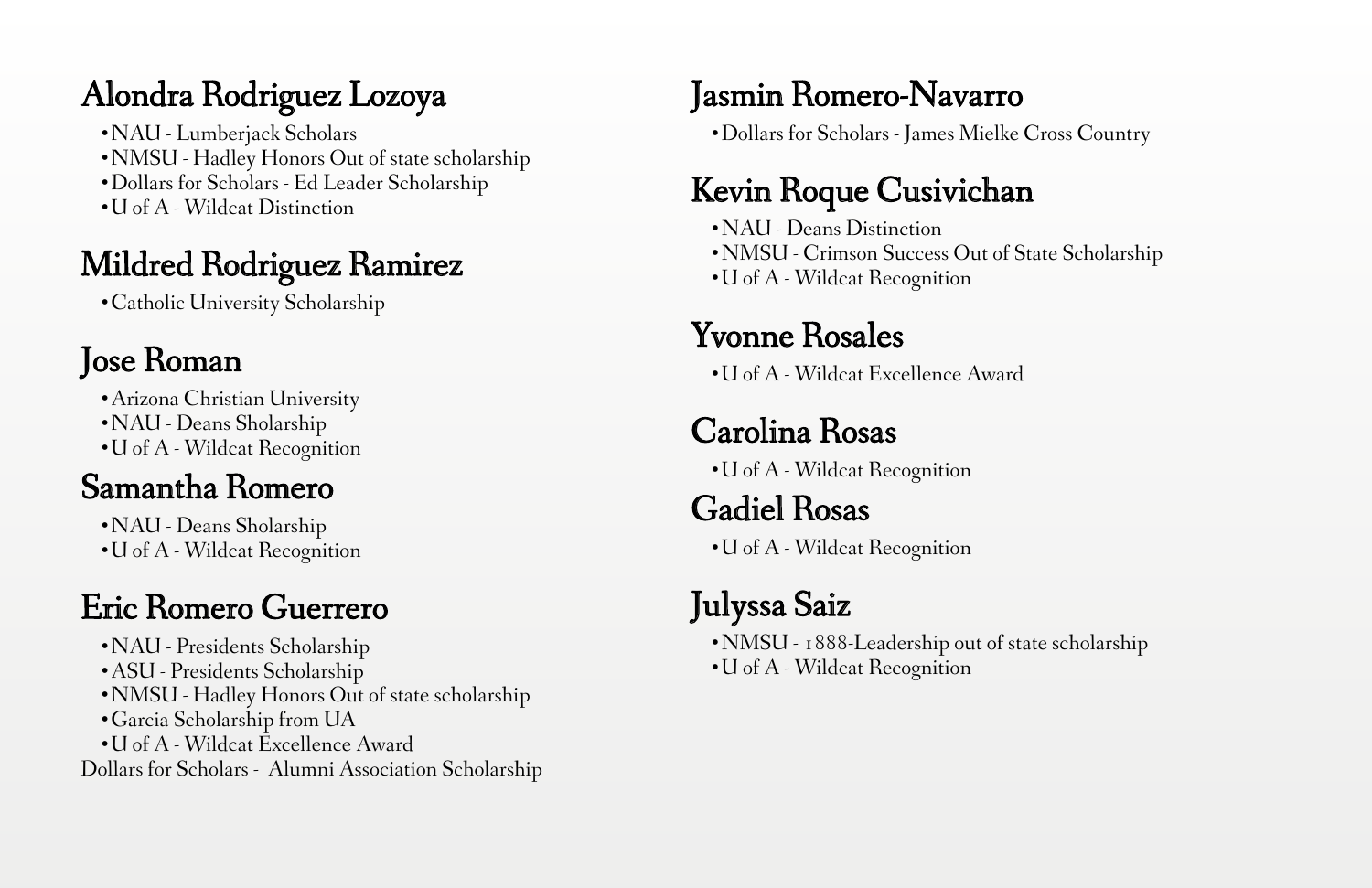#### Alondra Rodriguez Lozoya

•NAU - Lumberjack Scholars •NMSU - Hadley Honors Out of state scholarship •Dollars for Scholars - Ed Leader Scholarship •U of A - Wildcat Distinction

#### Mildred Rodriguez Ramirez

•Catholic University Scholarship

#### Jose Roman

•Arizona Christian University

•NAU - Deans Sholarship

•U of A - Wildcat Recognition

#### Samantha Romero

- •NAU Deans Sholarship
- •U of A Wildcat Recognition

## Eric Romero Guerrero

•NAU - Presidents Scholarship •ASU - Presidents Scholarship •NMSU - Hadley Honors Out of state scholarship •Garcia Scholarship from UA •U of A - Wildcat Excellence Award Dollars for Scholars - Alumni Association Scholarship

#### Jasmin Romero-Navarro

•Dollars for Scholars - James Mielke Cross Country

#### Kevin Roque Cusivichan

•NAU - Deans Distinction •NMSU - Crimson Success Out of State Scholarship •U of A - Wildcat Recognition

#### Yvonne Rosales

•U of A - Wildcat Excellence Award

## Carolina Rosas

•U of A - Wildcat Recognition

#### Gadiel Rosas

•U of A - Wildcat Recognition

## Julyssa Saiz

•NMSU - 1888-Leadership out of state scholarship •U of A - Wildcat Recognition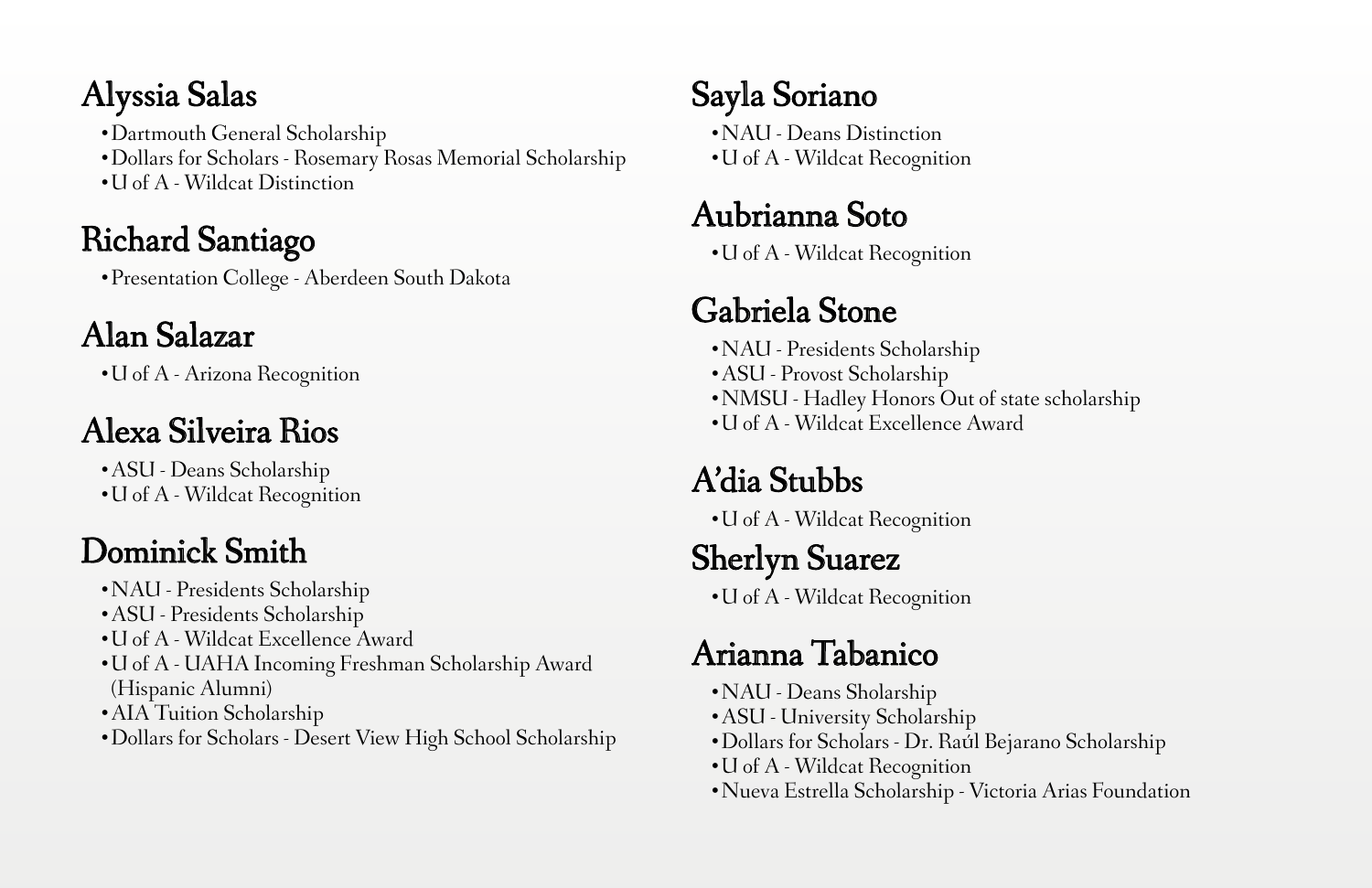#### Alyssia Salas

•Dartmouth General Scholarship •Dollars for Scholars - Rosemary Rosas Memorial Scholarship •U of A - Wildcat Distinction

#### Richard Santiago

•Presentation College - Aberdeen South Dakota

## Alan Salazar

•U of A - Arizona Recognition

## Alexa Silveira Rios

•ASU - Deans Scholarship •U of A - Wildcat Recognition

## Dominick Smith

- •NAU Presidents Scholarship
- •ASU Presidents Scholarship
- •U of A Wildcat Excellence Award
- •U of A UAHA Incoming Freshman Scholarship Award (Hispanic Alumni)
- •AIA Tuition Scholarship
- •Dollars for Scholars Desert View High School Scholarship

## Sayla Soriano

•NAU - Deans Distinction •U of A - Wildcat Recognition

#### Aubrianna Soto

•U of A - Wildcat Recognition

# Gabriela Stone

- •NAU Presidents Scholarship
- •ASU Provost Scholarship
- •NMSU Hadley Honors Out of state scholarship
- •U of A Wildcat Excellence Award

## A'dia Stubbs

•U of A - Wildcat Recognition

## Sherlyn Suarez

•U of A - Wildcat Recognition

## Arianna Tabanico

- •NAU Deans Sholarship
- •ASU University Scholarship
- Dollars for Scholars Dr. Raúl Bejarano Scholarship
- •U of A Wildcat Recognition
- •Nueva Estrella Scholarship Victoria Arias Foundation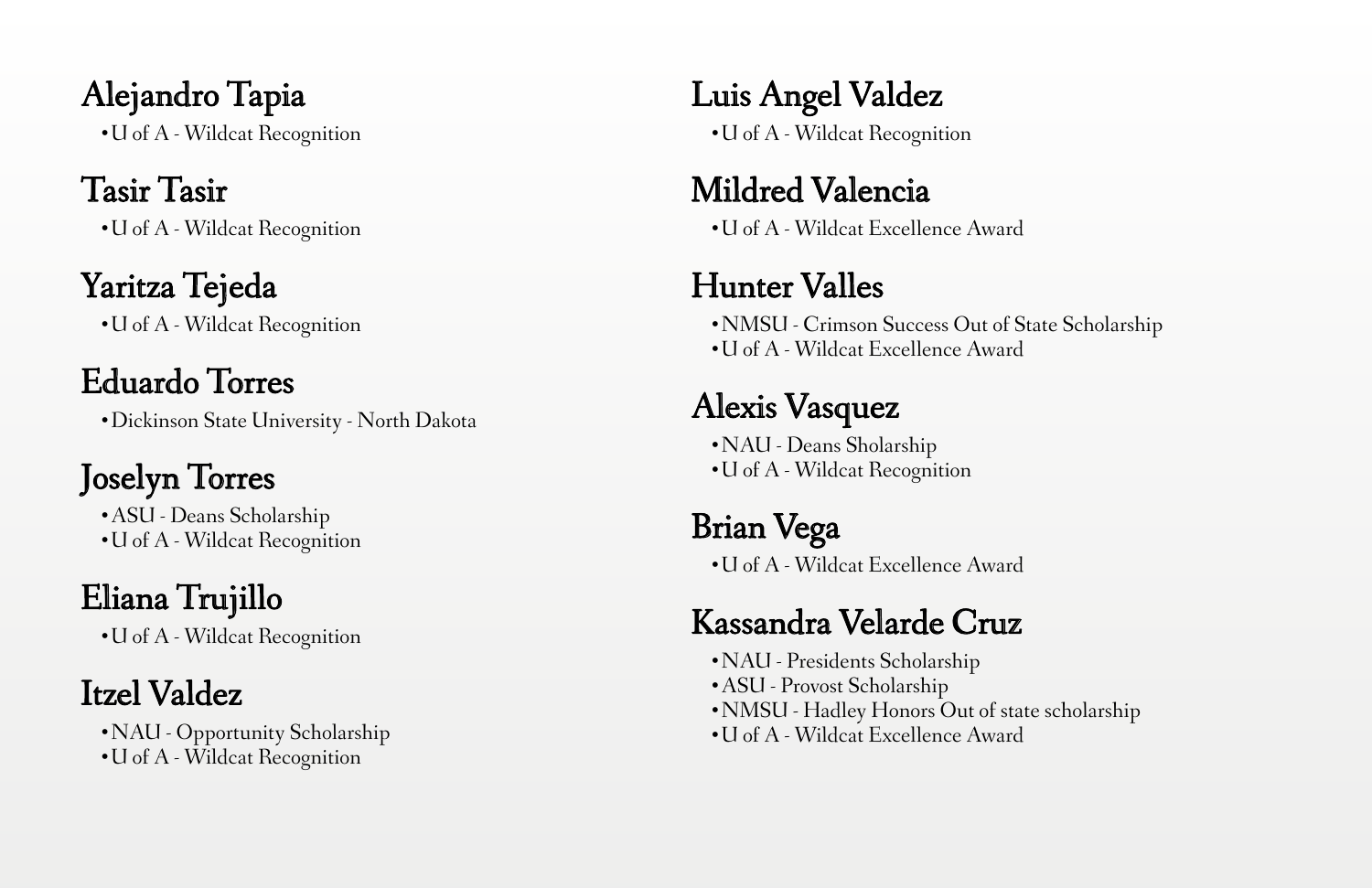Alejandro Tapia •U of A - Wildcat Recognition

#### Tasir Tasir

•U of A - Wildcat Recognition

#### Yaritza Tejeda

•U of A - Wildcat Recognition

# Eduardo Torres

•Dickinson State University - North Dakota

# Joselyn Torres

•ASU - Deans Scholarship •U of A - Wildcat Recognition

# Eliana Trujillo

•U of A - Wildcat Recognition

# Itzel Valdez

•NAU - Opportunity Scholarship •U of A - Wildcat Recognition

Luis Angel Valdez

•U of A - Wildcat Recognition

#### Mildred Valencia

•U of A - Wildcat Excellence Award

## Hunter Valles

•NMSU - Crimson Success Out of State Scholarship •U of A - Wildcat Excellence Award

# Alexis Vasquez

•NAU - Deans Sholarship •U of A - Wildcat Recognition

Brian Vega •U of A - Wildcat Excellence Award

# Kassandra Velarde Cruz

•NAU - Presidents Scholarship •ASU - Provost Scholarship •NMSU - Hadley Honors Out of state scholarship •U of A - Wildcat Excellence Award